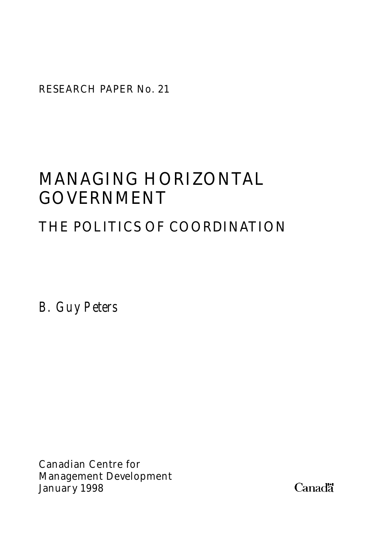RESEARCH PAPER No. 21

# MANAGING HORIZONTAL GOVERNMENT

# THE POLITICS OF COORDINATION

*B. Guy Peters*

Canadian Centre for Management Development January 1998

Canadä<sup>-</sup>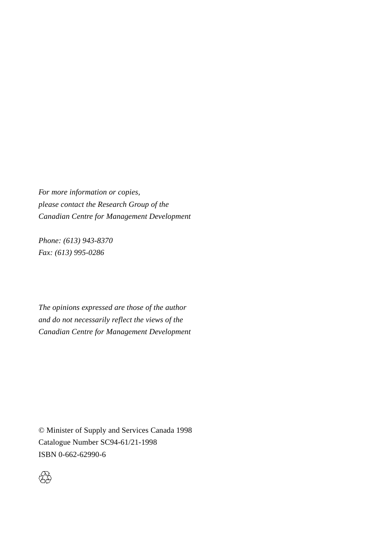*For more information or copies, please contact the Research Group of the Canadian Centre for Management Development*

*Phone: (613) 943-8370 Fax: (613) 995-0286*

*The opinions expressed are those of the author and do not necessarily reflect the views of the Canadian Centre for Management Development*

© Minister of Supply and Services Canada 1998 Catalogue Number SC94-61/21-1998 ISBN 0-662-62990-6

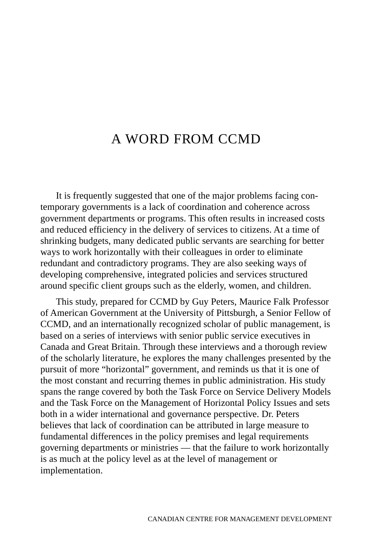# A WORD FROM CCMD

It is frequently suggested that one of the major problems facing contemporary governments is a lack of coordination and coherence across government departments or programs. This often results in increased costs and reduced efficiency in the delivery of services to citizens. At a time of shrinking budgets, many dedicated public servants are searching for better ways to work horizontally with their colleagues in order to eliminate redundant and contradictory programs. They are also seeking ways of developing comprehensive, integrated policies and services structured around specific client groups such as the elderly, women, and children.

This study, prepared for CCMD by Guy Peters, Maurice Falk Professor of American Government at the University of Pittsburgh, a Senior Fellow of CCMD, and an internationally recognized scholar of public management, is based on a series of interviews with senior public service executives in Canada and Great Britain. Through these interviews and a thorough review of the scholarly literature, he explores the many challenges presented by the pursuit of more "horizontal" government, and reminds us that it is one of the most constant and recurring themes in public administration. His study spans the range covered by both the Task Force on Service Delivery Models and the Task Force on the Management of Horizontal Policy Issues and sets both in a wider international and governance perspective. Dr. Peters believes that lack of coordination can be attributed in large measure to fundamental differences in the policy premises and legal requirements governing departments or ministries — that the failure to work horizontally is as much at the policy level as at the level of management or implementation.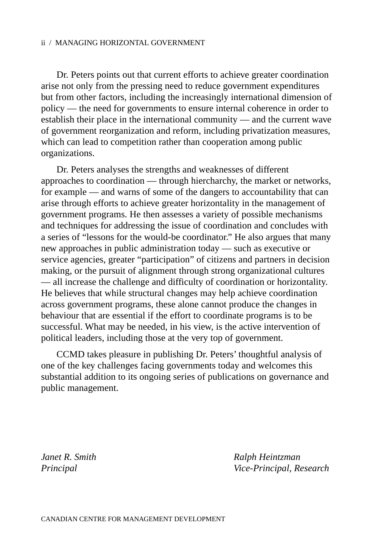Dr. Peters points out that current efforts to achieve greater coordination arise not only from the pressing need to reduce government expenditures but from other factors, including the increasingly international dimension of policy — the need for governments to ensure internal coherence in order to establish their place in the international community — and the current wave of government reorganization and reform, including privatization measures, which can lead to competition rather than cooperation among public organizations.

Dr. Peters analyses the strengths and weaknesses of different approaches to coordination — through hiercharchy, the market or networks, for example — and warns of some of the dangers to accountability that can arise through efforts to achieve greater horizontality in the management of government programs. He then assesses a variety of possible mechanisms and techniques for addressing the issue of coordination and concludes with a series of "lessons for the would-be coordinator." He also argues that many new approaches in public administration today — such as executive or service agencies, greater "participation" of citizens and partners in decision making, or the pursuit of alignment through strong organizational cultures — all increase the challenge and difficulty of coordination or horizontality. He believes that while structural changes may help achieve coordination across government programs, these alone cannot produce the changes in behaviour that are essential if the effort to coordinate programs is to be successful. What may be needed, in his view, is the active intervention of political leaders, including those at the very top of government.

CCMD takes pleasure in publishing Dr. Peters' thoughtful analysis of one of the key challenges facing governments today and welcomes this substantial addition to its ongoing series of publications on governance and public management.

*Janet R. Smith*  $R$ *alph Heintzman Principal Vice-Principal, Research*

CANADIAN CENTRE FOR MANAGEMENT DEVELOPMENT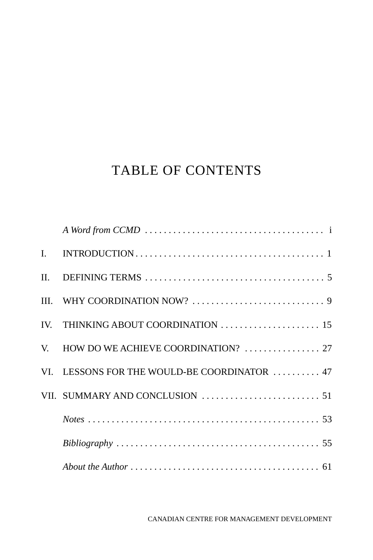# TABLE OF CONTENTS

| IV. THINKING ABOUT COORDINATION  15          |
|----------------------------------------------|
| V. HOW DO WE ACHIEVE COORDINATION?  27       |
| VI. LESSONS FOR THE WOULD-BE COORDINATOR  47 |
|                                              |
|                                              |
|                                              |
|                                              |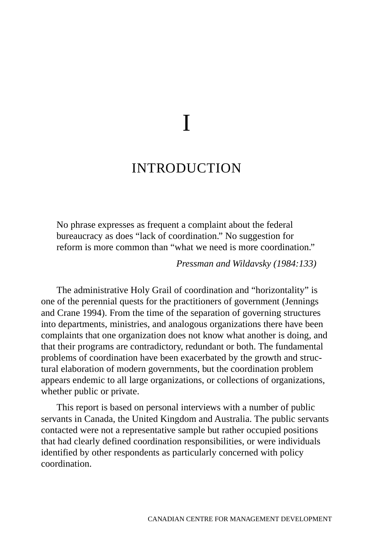# I

# INTRODUCTION

No phrase expresses as frequent a complaint about the federal bureaucracy as does "lack of coordination." No suggestion for reform is more common than "what we need is more coordination."

*Pressman and Wildavsky (1984:133)*

The administrative Holy Grail of coordination and "horizontality" is one of the perennial quests for the practitioners of government (Jennings and Crane 1994). From the time of the separation of governing structures into departments, ministries, and analogous organizations there have been complaints that one organization does not know what another is doing, and that their programs are contradictory, redundant or both. The fundamental problems of coordination have been exacerbated by the growth and structural elaboration of modern governments, but the coordination problem appears endemic to all large organizations, or collections of organizations, whether public or private.

This report is based on personal interviews with a number of public servants in Canada, the United Kingdom and Australia. The public servants contacted were not a representative sample but rather occupied positions that had clearly defined coordination responsibilities, or were individuals identified by other respondents as particularly concerned with policy coordination.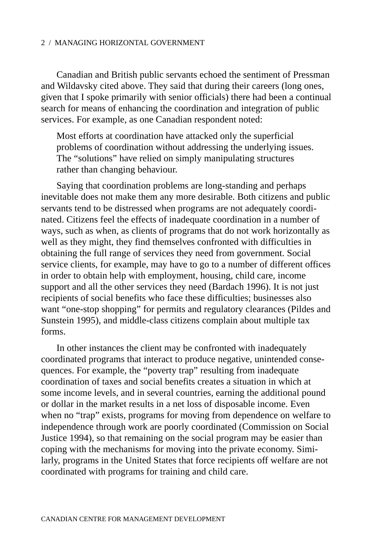Canadian and British public servants echoed the sentiment of Pressman and Wildavsky cited above. They said that during their careers (long ones, given that I spoke primarily with senior officials) there had been a continual search for means of enhancing the coordination and integration of public services. For example, as one Canadian respondent noted:

Most efforts at coordination have attacked only the superficial problems of coordination without addressing the underlying issues. The "solutions" have relied on simply manipulating structures rather than changing behaviour.

Saying that coordination problems are long-standing and perhaps inevitable does not make them any more desirable. Both citizens and public servants tend to be distressed when programs are not adequately coordinated. Citizens feel the effects of inadequate coordination in a number of ways, such as when, as clients of programs that do not work horizontally as well as they might, they find themselves confronted with difficulties in obtaining the full range of services they need from government. Social service clients, for example, may have to go to a number of different offices in order to obtain help with employment, housing, child care, income support and all the other services they need (Bardach 1996). It is not just recipients of social benefits who face these difficulties; businesses also want "one-stop shopping" for permits and regulatory clearances (Pildes and Sunstein 1995), and middle-class citizens complain about multiple tax forms.

In other instances the client may be confronted with inadequately coordinated programs that interact to produce negative, unintended consequences. For example, the "poverty trap" resulting from inadequate coordination of taxes and social benefits creates a situation in which at some income levels, and in several countries, earning the additional pound or dollar in the market results in a net loss of disposable income. Even when no "trap" exists, programs for moving from dependence on welfare to independence through work are poorly coordinated (Commission on Social Justice 1994), so that remaining on the social program may be easier than coping with the mechanisms for moving into the private economy. Similarly, programs in the United States that force recipients off welfare are not coordinated with programs for training and child care.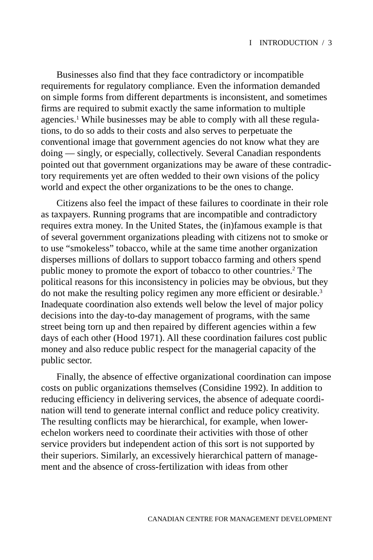Businesses also find that they face contradictory or incompatible requirements for regulatory compliance. Even the information demanded on simple forms from different departments is inconsistent, and sometimes firms are required to submit exactly the same information to multiple agencies.<sup>1</sup> While businesses may be able to comply with all these regulations, to do so adds to their costs and also serves to perpetuate the conventional image that government agencies do not know what they are doing — singly, or especially, collectively. Several Canadian respondents pointed out that government organizations may be aware of these contradictory requirements yet are often wedded to their own visions of the policy world and expect the other organizations to be the ones to change.

Citizens also feel the impact of these failures to coordinate in their role as taxpayers. Running programs that are incompatible and contradictory requires extra money. In the United States, the (in)famous example is that of several government organizations pleading with citizens not to smoke or to use "smokeless" tobacco, while at the same time another organization disperses millions of dollars to support tobacco farming and others spend public money to promote the export of tobacco to other countries.<sup>2</sup> The political reasons for this inconsistency in policies may be obvious, but they do not make the resulting policy regimen any more efficient or desirable.3 Inadequate coordination also extends well below the level of major policy decisions into the day-to-day management of programs, with the same street being torn up and then repaired by different agencies within a few days of each other (Hood 1971). All these coordination failures cost public money and also reduce public respect for the managerial capacity of the public sector.

Finally, the absence of effective organizational coordination can impose costs on public organizations themselves (Considine 1992). In addition to reducing efficiency in delivering services, the absence of adequate coordination will tend to generate internal conflict and reduce policy creativity. The resulting conflicts may be hierarchical, for example, when lowerechelon workers need to coordinate their activities with those of other service providers but independent action of this sort is not supported by their superiors. Similarly, an excessively hierarchical pattern of management and the absence of cross-fertilization with ideas from other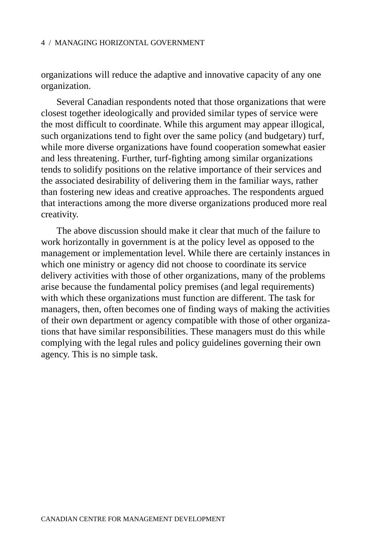organizations will reduce the adaptive and innovative capacity of any one organization.

Several Canadian respondents noted that those organizations that were closest together ideologically and provided similar types of service were the most difficult to coordinate. While this argument may appear illogical, such organizations tend to fight over the same policy (and budgetary) turf, while more diverse organizations have found cooperation somewhat easier and less threatening. Further, turf-fighting among similar organizations tends to solidify positions on the relative importance of their services and the associated desirability of delivering them in the familiar ways, rather than fostering new ideas and creative approaches. The respondents argued that interactions among the more diverse organizations produced more real creativity.

The above discussion should make it clear that much of the failure to work horizontally in government is at the policy level as opposed to the management or implementation level. While there are certainly instances in which one ministry or agency did not choose to coordinate its service delivery activities with those of other organizations, many of the problems arise because the fundamental policy premises (and legal requirements) with which these organizations must function are different. The task for managers, then, often becomes one of finding ways of making the activities of their own department or agency compatible with those of other organizations that have similar responsibilities. These managers must do this while complying with the legal rules and policy guidelines governing their own agency. This is no simple task.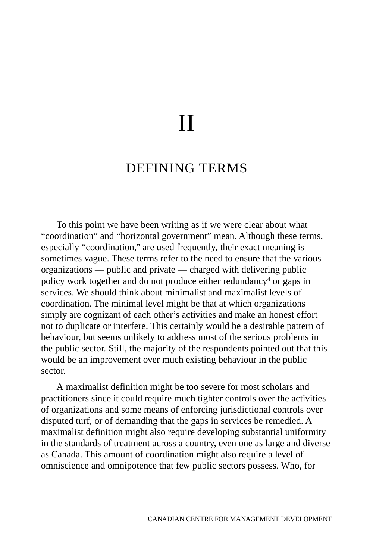# II

# DEFINING TERMS

To this point we have been writing as if we were clear about what "coordination" and "horizontal government" mean. Although these terms, especially "coordination," are used frequently, their exact meaning is sometimes vague. These terms refer to the need to ensure that the various organizations — public and private — charged with delivering public policy work together and do not produce either redundancy<sup>4</sup> or gaps in services. We should think about minimalist and maximalist levels of coordination. The minimal level might be that at which organizations simply are cognizant of each other's activities and make an honest effort not to duplicate or interfere. This certainly would be a desirable pattern of behaviour, but seems unlikely to address most of the serious problems in the public sector. Still, the majority of the respondents pointed out that this would be an improvement over much existing behaviour in the public sector.

A maximalist definition might be too severe for most scholars and practitioners since it could require much tighter controls over the activities of organizations and some means of enforcing jurisdictional controls over disputed turf, or of demanding that the gaps in services be remedied. A maximalist definition might also require developing substantial uniformity in the standards of treatment across a country, even one as large and diverse as Canada. This amount of coordination might also require a level of omniscience and omnipotence that few public sectors possess. Who, for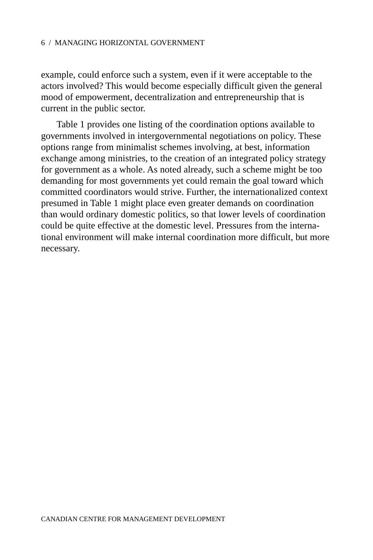example, could enforce such a system, even if it were acceptable to the actors involved? This would become especially difficult given the general mood of empowerment, decentralization and entrepreneurship that is current in the public sector.

Table 1 provides one listing of the coordination options available to governments involved in intergovernmental negotiations on policy. These options range from minimalist schemes involving, at best, information exchange among ministries, to the creation of an integrated policy strategy for government as a whole. As noted already, such a scheme might be too demanding for most governments yet could remain the goal toward which committed coordinators would strive. Further, the internationalized context presumed in Table 1 might place even greater demands on coordination than would ordinary domestic politics, so that lower levels of coordination could be quite effective at the domestic level. Pressures from the international environment will make internal coordination more difficult, but more necessary.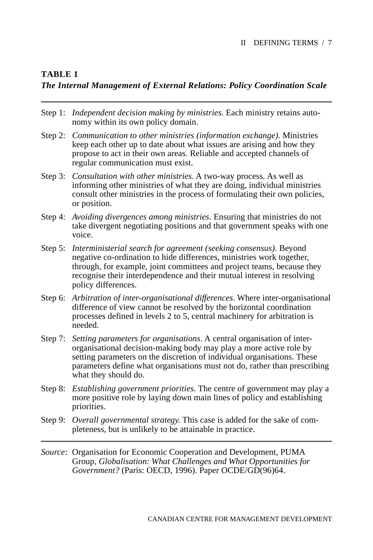# **TABLE 1**

# *The Internal Management of External Relations: Policy Coordination Scale*

- Step 1: *Independent decision making by ministries*. Each ministry retains autonomy within its own policy domain.
- Step 2: *Communication to other ministries (information exchange).* Ministries keep each other up to date about what issues are arising and how they propose to act in their own areas. Reliable and accepted channels of regular communication must exist.
- Step 3: *Consultation with other ministries*. A two-way process. As well as informing other ministries of what they are doing, individual ministries consult other ministries in the process of formulating their own policies, or position.
- Step 4: *Avoiding divergences among ministries*. Ensuring that ministries do not take divergent negotiating positions and that government speaks with one voice.
- Step 5: *Interministerial search for agreement (seeking consensus)*. Beyond negative co-ordination to hide differences, ministries work together, through, for example, joint committees and project teams, because they recognise their interdependence and their mutual interest in resolving policy differences.
- Step 6: *Arbitration of inter-organisational differences*. Where inter-organisational difference of view cannot be resolved by the horizontal coordination processes defined in levels 2 to 5, central machinery for arbitration is needed.
- Step 7: *Setting parameters for organisations*. A central organisation of interorganisational decision-making body may play a more active role by setting parameters on the discretion of individual organisations. These parameters define what organisations must not do, rather than prescribing what they should do.
- Step 8: *Establishing government priorities.* The centre of government may play a more positive role by laying down main lines of policy and establishing priorities.
- Step 9: *Overall governmental strategy.* This case is added for the sake of completeness, but is unlikely to be attainable in practice.
- *Source:* Organisation for Economic Cooperation and Development, PUMA Group*, Globalisation: What Challenges and What Opportunities for Government?* (Paris: OECD, 1996). Paper OCDE/GD(96)64.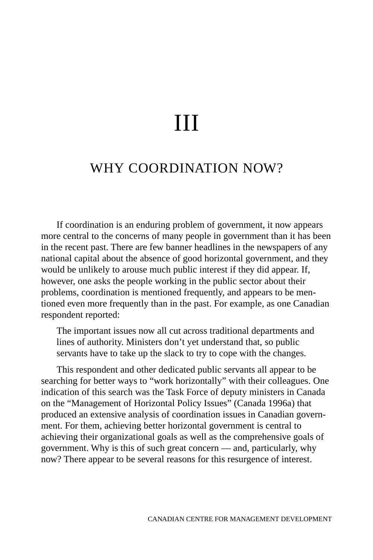# III

# WHY COORDINATION NOW?

If coordination is an enduring problem of government, it now appears more central to the concerns of many people in government than it has been in the recent past. There are few banner headlines in the newspapers of any national capital about the absence of good horizontal government, and they would be unlikely to arouse much public interest if they did appear. If, however, one asks the people working in the public sector about their problems, coordination is mentioned frequently, and appears to be mentioned even more frequently than in the past. For example, as one Canadian respondent reported:

The important issues now all cut across traditional departments and lines of authority. Ministers don't yet understand that, so public servants have to take up the slack to try to cope with the changes.

This respondent and other dedicated public servants all appear to be searching for better ways to "work horizontally" with their colleagues. One indication of this search was the Task Force of deputy ministers in Canada on the "Management of Horizontal Policy Issues" (Canada 1996a) that produced an extensive analysis of coordination issues in Canadian government. For them, achieving better horizontal government is central to achieving their organizational goals as well as the comprehensive goals of government. Why is this of such great concern — and, particularly, why now? There appear to be several reasons for this resurgence of interest.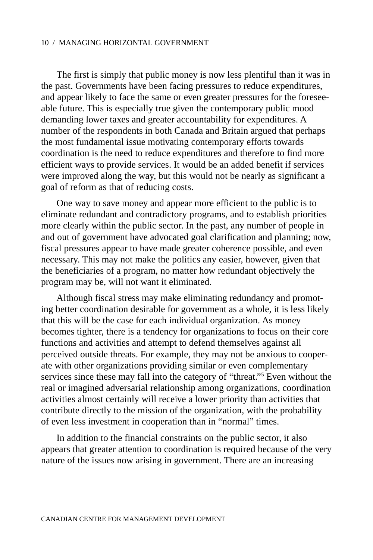The first is simply that public money is now less plentiful than it was in the past. Governments have been facing pressures to reduce expenditures, and appear likely to face the same or even greater pressures for the foreseeable future. This is especially true given the contemporary public mood demanding lower taxes and greater accountability for expenditures. A number of the respondents in both Canada and Britain argued that perhaps the most fundamental issue motivating contemporary efforts towards coordination is the need to reduce expenditures and therefore to find more efficient ways to provide services. It would be an added benefit if services were improved along the way, but this would not be nearly as significant a goal of reform as that of reducing costs.

One way to save money and appear more efficient to the public is to eliminate redundant and contradictory programs, and to establish priorities more clearly within the public sector. In the past, any number of people in and out of government have advocated goal clarification and planning; now, fiscal pressures appear to have made greater coherence possible, and even necessary. This may not make the politics any easier, however, given that the beneficiaries of a program, no matter how redundant objectively the program may be, will not want it eliminated.

Although fiscal stress may make eliminating redundancy and promoting better coordination desirable for government as a whole, it is less likely that this will be the case for each individual organization. As money becomes tighter, there is a tendency for organizations to focus on their core functions and activities and attempt to defend themselves against all perceived outside threats. For example, they may not be anxious to cooperate with other organizations providing similar or even complementary services since these may fall into the category of "threat."<sup>5</sup> Even without the real or imagined adversarial relationship among organizations, coordination activities almost certainly will receive a lower priority than activities that contribute directly to the mission of the organization, with the probability of even less investment in cooperation than in "normal" times.

In addition to the financial constraints on the public sector, it also appears that greater attention to coordination is required because of the very nature of the issues now arising in government. There are an increasing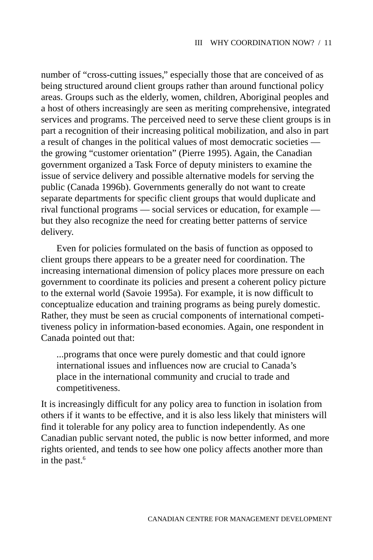number of "cross-cutting issues," especially those that are conceived of as being structured around client groups rather than around functional policy areas. Groups such as the elderly, women, children, Aboriginal peoples and a host of others increasingly are seen as meriting comprehensive, integrated services and programs. The perceived need to serve these client groups is in part a recognition of their increasing political mobilization, and also in part a result of changes in the political values of most democratic societies the growing "customer orientation" (Pierre 1995). Again, the Canadian government organized a Task Force of deputy ministers to examine the issue of service delivery and possible alternative models for serving the public (Canada 1996b). Governments generally do not want to create separate departments for specific client groups that would duplicate and rival functional programs — social services or education, for example but they also recognize the need for creating better patterns of service delivery.

Even for policies formulated on the basis of function as opposed to client groups there appears to be a greater need for coordination. The increasing international dimension of policy places more pressure on each government to coordinate its policies and present a coherent policy picture to the external world (Savoie 1995a). For example, it is now difficult to conceptualize education and training programs as being purely domestic. Rather, they must be seen as crucial components of international competitiveness policy in information-based economies. Again, one respondent in Canada pointed out that:

...programs that once were purely domestic and that could ignore international issues and influences now are crucial to Canada's place in the international community and crucial to trade and competitiveness.

It is increasingly difficult for any policy area to function in isolation from others if it wants to be effective, and it is also less likely that ministers will find it tolerable for any policy area to function independently. As one Canadian public servant noted, the public is now better informed, and more rights oriented, and tends to see how one policy affects another more than in the past. $6$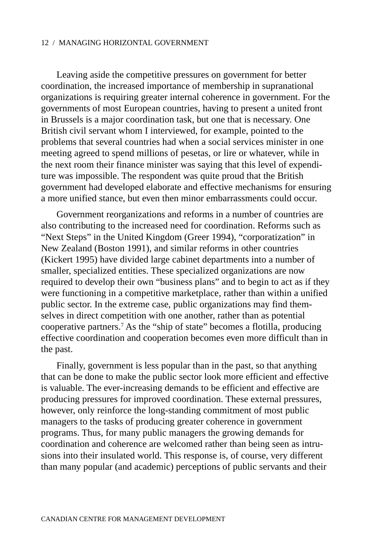Leaving aside the competitive pressures on government for better coordination, the increased importance of membership in supranational organizations is requiring greater internal coherence in government. For the governments of most European countries, having to present a united front in Brussels is a major coordination task, but one that is necessary. One British civil servant whom I interviewed, for example, pointed to the problems that several countries had when a social services minister in one meeting agreed to spend millions of pesetas, or lire or whatever, while in the next room their finance minister was saying that this level of expenditure was impossible. The respondent was quite proud that the British government had developed elaborate and effective mechanisms for ensuring a more unified stance, but even then minor embarrassments could occur.

Government reorganizations and reforms in a number of countries are also contributing to the increased need for coordination. Reforms such as "Next Steps" in the United Kingdom (Greer 1994), "corporatization" in New Zealand (Boston 1991), and similar reforms in other countries (Kickert 1995) have divided large cabinet departments into a number of smaller, specialized entities. These specialized organizations are now required to develop their own "business plans" and to begin to act as if they were functioning in a competitive marketplace, rather than within a unified public sector. In the extreme case, public organizations may find themselves in direct competition with one another, rather than as potential cooperative partners.7 As the "ship of state" becomes a flotilla, producing effective coordination and cooperation becomes even more difficult than in the past.

Finally, government is less popular than in the past, so that anything that can be done to make the public sector look more efficient and effective is valuable. The ever-increasing demands to be efficient and effective are producing pressures for improved coordination. These external pressures, however, only reinforce the long-standing commitment of most public managers to the tasks of producing greater coherence in government programs. Thus, for many public managers the growing demands for coordination and coherence are welcomed rather than being seen as intrusions into their insulated world. This response is, of course, very different than many popular (and academic) perceptions of public servants and their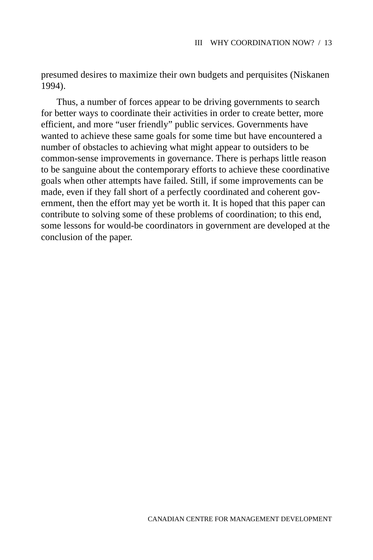presumed desires to maximize their own budgets and perquisites (Niskanen 1994).

Thus, a number of forces appear to be driving governments to search for better ways to coordinate their activities in order to create better, more efficient, and more "user friendly" public services. Governments have wanted to achieve these same goals for some time but have encountered a number of obstacles to achieving what might appear to outsiders to be common-sense improvements in governance. There is perhaps little reason to be sanguine about the contemporary efforts to achieve these coordinative goals when other attempts have failed. Still, if some improvements can be made, even if they fall short of a perfectly coordinated and coherent government, then the effort may yet be worth it. It is hoped that this paper can contribute to solving some of these problems of coordination; to this end, some lessons for would-be coordinators in government are developed at the conclusion of the paper.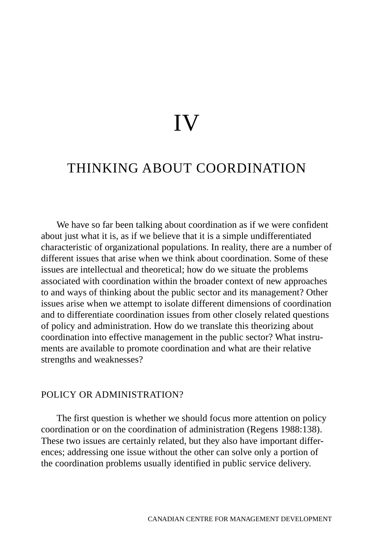# IV

# THINKING ABOUT COORDINATION

We have so far been talking about coordination as if we were confident about just what it is, as if we believe that it is a simple undifferentiated characteristic of organizational populations. In reality, there are a number of different issues that arise when we think about coordination. Some of these issues are intellectual and theoretical; how do we situate the problems associated with coordination within the broader context of new approaches to and ways of thinking about the public sector and its management? Other issues arise when we attempt to isolate different dimensions of coordination and to differentiate coordination issues from other closely related questions of policy and administration. How do we translate this theorizing about coordination into effective management in the public sector? What instruments are available to promote coordination and what are their relative strengths and weaknesses?

# POLICY OR ADMINISTRATION?

The first question is whether we should focus more attention on policy coordination or on the coordination of administration (Regens 1988:138). These two issues are certainly related, but they also have important differences; addressing one issue without the other can solve only a portion of the coordination problems usually identified in public service delivery.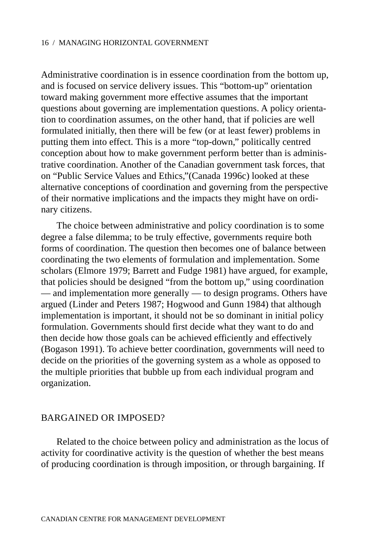Administrative coordination is in essence coordination from the bottom up, and is focused on service delivery issues. This "bottom-up" orientation toward making government more effective assumes that the important questions about governing are implementation questions. A policy orientation to coordination assumes, on the other hand, that if policies are well formulated initially, then there will be few (or at least fewer) problems in putting them into effect. This is a more "top-down," politically centred conception about how to make government perform better than is administrative coordination. Another of the Canadian government task forces, that on "Public Service Values and Ethics,"(Canada 1996c) looked at these alternative conceptions of coordination and governing from the perspective of their normative implications and the impacts they might have on ordinary citizens.

The choice between administrative and policy coordination is to some degree a false dilemma; to be truly effective, governments require both forms of coordination. The question then becomes one of balance between coordinating the two elements of formulation and implementation. Some scholars (Elmore 1979; Barrett and Fudge 1981) have argued, for example, that policies should be designed "from the bottom up," using coordination — and implementation more generally — to design programs. Others have argued (Linder and Peters 1987; Hogwood and Gunn 1984) that although implementation is important, it should not be so dominant in initial policy formulation. Governments should first decide what they want to do and then decide how those goals can be achieved efficiently and effectively (Bogason 1991). To achieve better coordination, governments will need to decide on the priorities of the governing system as a whole as opposed to the multiple priorities that bubble up from each individual program and organization.

# BARGAINED OR IMPOSED?

Related to the choice between policy and administration as the locus of activity for coordinative activity is the question of whether the best means of producing coordination is through imposition, or through bargaining. If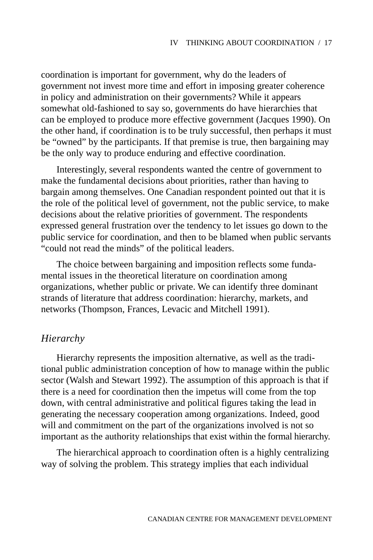coordination is important for government, why do the leaders of government not invest more time and effort in imposing greater coherence in policy and administration on their governments? While it appears somewhat old-fashioned to say so, governments do have hierarchies that can be employed to produce more effective government (Jacques 1990). On the other hand, if coordination is to be truly successful, then perhaps it must be "owned" by the participants. If that premise is true, then bargaining may be the only way to produce enduring and effective coordination.

Interestingly, several respondents wanted the centre of government to make the fundamental decisions about priorities, rather than having to bargain among themselves. One Canadian respondent pointed out that it is the role of the political level of government, not the public service, to make decisions about the relative priorities of government. The respondents expressed general frustration over the tendency to let issues go down to the public service for coordination, and then to be blamed when public servants "could not read the minds" of the political leaders.

The choice between bargaining and imposition reflects some fundamental issues in the theoretical literature on coordination among organizations, whether public or private. We can identify three dominant strands of literature that address coordination: hierarchy, markets, and networks (Thompson, Frances, Levacic and Mitchell 1991).

## *Hierarchy*

Hierarchy represents the imposition alternative, as well as the traditional public administration conception of how to manage within the public sector (Walsh and Stewart 1992). The assumption of this approach is that if there is a need for coordination then the impetus will come from the top down, with central administrative and political figures taking the lead in generating the necessary cooperation among organizations. Indeed, good will and commitment on the part of the organizations involved is not so important as the authority relationships that exist within the formal hierarchy.

The hierarchical approach to coordination often is a highly centralizing way of solving the problem. This strategy implies that each individual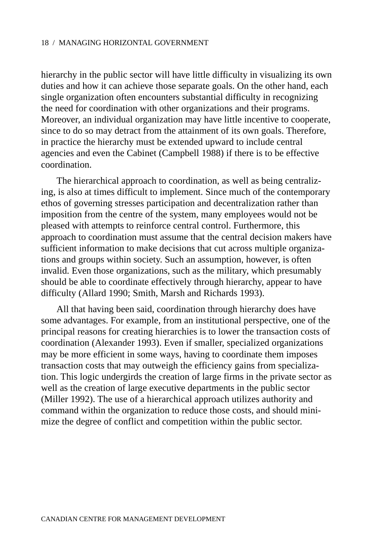hierarchy in the public sector will have little difficulty in visualizing its own duties and how it can achieve those separate goals. On the other hand, each single organization often encounters substantial difficulty in recognizing the need for coordination with other organizations and their programs. Moreover, an individual organization may have little incentive to cooperate, since to do so may detract from the attainment of its own goals. Therefore, in practice the hierarchy must be extended upward to include central agencies and even the Cabinet (Campbell 1988) if there is to be effective coordination.

The hierarchical approach to coordination, as well as being centralizing, is also at times difficult to implement. Since much of the contemporary ethos of governing stresses participation and decentralization rather than imposition from the centre of the system, many employees would not be pleased with attempts to reinforce central control. Furthermore, this approach to coordination must assume that the central decision makers have sufficient information to make decisions that cut across multiple organizations and groups within society. Such an assumption, however, is often invalid. Even those organizations, such as the military, which presumably should be able to coordinate effectively through hierarchy, appear to have difficulty (Allard 1990; Smith, Marsh and Richards 1993).

All that having been said, coordination through hierarchy does have some advantages. For example, from an institutional perspective, one of the principal reasons for creating hierarchies is to lower the transaction costs of coordination (Alexander 1993). Even if smaller, specialized organizations may be more efficient in some ways, having to coordinate them imposes transaction costs that may outweigh the efficiency gains from specialization. This logic undergirds the creation of large firms in the private sector as well as the creation of large executive departments in the public sector (Miller 1992). The use of a hierarchical approach utilizes authority and command within the organization to reduce those costs, and should minimize the degree of conflict and competition within the public sector.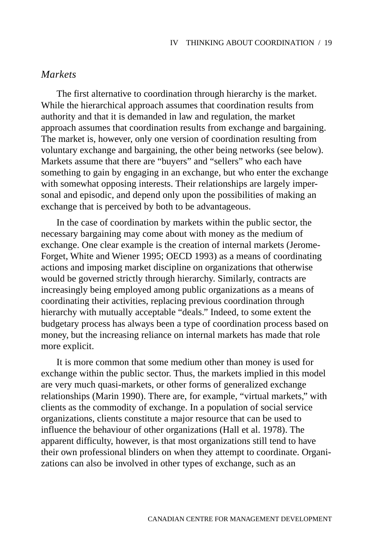# *Markets*

The first alternative to coordination through hierarchy is the market. While the hierarchical approach assumes that coordination results from authority and that it is demanded in law and regulation, the market approach assumes that coordination results from exchange and bargaining. The market is, however, only one version of coordination resulting from voluntary exchange and bargaining, the other being networks (see below). Markets assume that there are "buyers" and "sellers" who each have something to gain by engaging in an exchange, but who enter the exchange with somewhat opposing interests. Their relationships are largely impersonal and episodic, and depend only upon the possibilities of making an exchange that is perceived by both to be advantageous.

In the case of coordination by markets within the public sector, the necessary bargaining may come about with money as the medium of exchange. One clear example is the creation of internal markets (Jerome-Forget, White and Wiener 1995; OECD 1993) as a means of coordinating actions and imposing market discipline on organizations that otherwise would be governed strictly through hierarchy. Similarly, contracts are increasingly being employed among public organizations as a means of coordinating their activities, replacing previous coordination through hierarchy with mutually acceptable "deals." Indeed, to some extent the budgetary process has always been a type of coordination process based on money, but the increasing reliance on internal markets has made that role more explicit.

It is more common that some medium other than money is used for exchange within the public sector. Thus, the markets implied in this model are very much quasi-markets, or other forms of generalized exchange relationships (Marin 1990). There are, for example, "virtual markets," with clients as the commodity of exchange. In a population of social service organizations, clients constitute a major resource that can be used to influence the behaviour of other organizations (Hall et al. 1978). The apparent difficulty, however, is that most organizations still tend to have their own professional blinders on when they attempt to coordinate. Organizations can also be involved in other types of exchange, such as an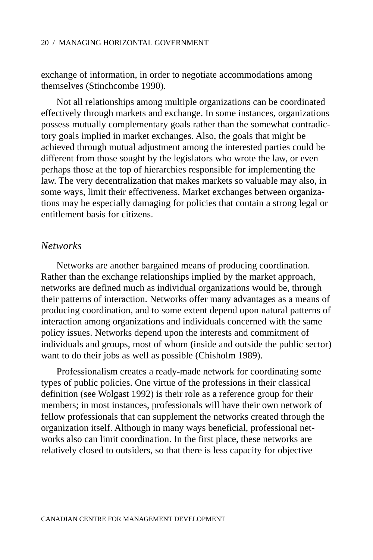exchange of information, in order to negotiate accommodations among themselves (Stinchcombe 1990).

Not all relationships among multiple organizations can be coordinated effectively through markets and exchange. In some instances, organizations possess mutually complementary goals rather than the somewhat contradictory goals implied in market exchanges. Also, the goals that might be achieved through mutual adjustment among the interested parties could be different from those sought by the legislators who wrote the law, or even perhaps those at the top of hierarchies responsible for implementing the law. The very decentralization that makes markets so valuable may also, in some ways, limit their effectiveness. Market exchanges between organizations may be especially damaging for policies that contain a strong legal or entitlement basis for citizens.

## *Networks*

Networks are another bargained means of producing coordination. Rather than the exchange relationships implied by the market approach, networks are defined much as individual organizations would be, through their patterns of interaction. Networks offer many advantages as a means of producing coordination, and to some extent depend upon natural patterns of interaction among organizations and individuals concerned with the same policy issues. Networks depend upon the interests and commitment of individuals and groups, most of whom (inside and outside the public sector) want to do their jobs as well as possible (Chisholm 1989).

Professionalism creates a ready-made network for coordinating some types of public policies. One virtue of the professions in their classical definition (see Wolgast 1992) is their role as a reference group for their members; in most instances, professionals will have their own network of fellow professionals that can supplement the networks created through the organization itself. Although in many ways beneficial, professional networks also can limit coordination. In the first place, these networks are relatively closed to outsiders, so that there is less capacity for objective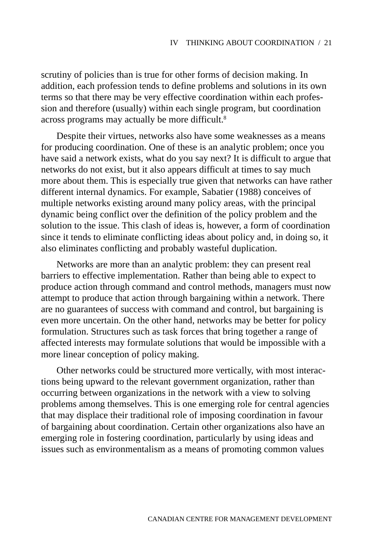scrutiny of policies than is true for other forms of decision making. In addition, each profession tends to define problems and solutions in its own terms so that there may be very effective coordination within each profession and therefore (usually) within each single program, but coordination across programs may actually be more difficult.<sup>8</sup>

Despite their virtues, networks also have some weaknesses as a means for producing coordination. One of these is an analytic problem; once you have said a network exists, what do you say next? It is difficult to argue that networks do not exist, but it also appears difficult at times to say much more about them. This is especially true given that networks can have rather different internal dynamics. For example, Sabatier (1988) conceives of multiple networks existing around many policy areas, with the principal dynamic being conflict over the definition of the policy problem and the solution to the issue. This clash of ideas is, however, a form of coordination since it tends to eliminate conflicting ideas about policy and, in doing so, it also eliminates conflicting and probably wasteful duplication.

Networks are more than an analytic problem: they can present real barriers to effective implementation. Rather than being able to expect to produce action through command and control methods, managers must now attempt to produce that action through bargaining within a network. There are no guarantees of success with command and control, but bargaining is even more uncertain. On the other hand, networks may be better for policy formulation. Structures such as task forces that bring together a range of affected interests may formulate solutions that would be impossible with a more linear conception of policy making.

Other networks could be structured more vertically, with most interactions being upward to the relevant government organization, rather than occurring between organizations in the network with a view to solving problems among themselves. This is one emerging role for central agencies that may displace their traditional role of imposing coordination in favour of bargaining about coordination. Certain other organizations also have an emerging role in fostering coordination, particularly by using ideas and issues such as environmentalism as a means of promoting common values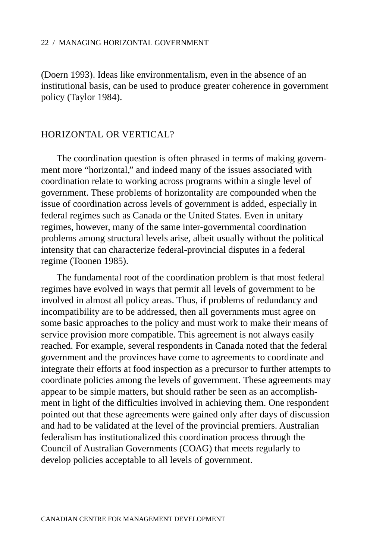(Doern 1993). Ideas like environmentalism, even in the absence of an institutional basis, can be used to produce greater coherence in government policy (Taylor 1984).

## HORIZONTAL OR VERTICAL?

The coordination question is often phrased in terms of making government more "horizontal," and indeed many of the issues associated with coordination relate to working across programs within a single level of government. These problems of horizontality are compounded when the issue of coordination across levels of government is added, especially in federal regimes such as Canada or the United States. Even in unitary regimes, however, many of the same inter-governmental coordination problems among structural levels arise, albeit usually without the political intensity that can characterize federal-provincial disputes in a federal regime (Toonen 1985).

The fundamental root of the coordination problem is that most federal regimes have evolved in ways that permit all levels of government to be involved in almost all policy areas. Thus, if problems of redundancy and incompatibility are to be addressed, then all governments must agree on some basic approaches to the policy and must work to make their means of service provision more compatible. This agreement is not always easily reached. For example, several respondents in Canada noted that the federal government and the provinces have come to agreements to coordinate and integrate their efforts at food inspection as a precursor to further attempts to coordinate policies among the levels of government. These agreements may appear to be simple matters, but should rather be seen as an accomplishment in light of the difficulties involved in achieving them. One respondent pointed out that these agreements were gained only after days of discussion and had to be validated at the level of the provincial premiers. Australian federalism has institutionalized this coordination process through the Council of Australian Governments (COAG) that meets regularly to develop policies acceptable to all levels of government.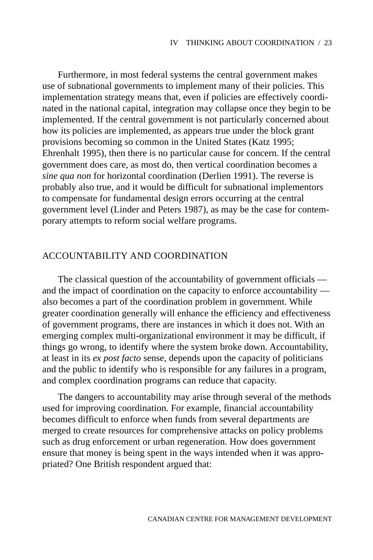Furthermore, in most federal systems the central government makes use of subnational governments to implement many of their policies. This implementation strategy means that, even if policies are effectively coordinated in the national capital, integration may collapse once they begin to be implemented. If the central government is not particularly concerned about how its policies are implemented, as appears true under the block grant provisions becoming so common in the United States (Katz 1995; Ehrenhalt 1995), then there is no particular cause for concern. If the central government does care, as most do, then vertical coordination becomes a *sine qua non* for horizontal coordination (Derlien 1991). The reverse is probably also true, and it would be difficult for subnational implementors to compensate for fundamental design errors occurring at the central government level (Linder and Peters 1987), as may be the case for contemporary attempts to reform social welfare programs.

## ACCOUNTABILITY AND COORDINATION

The classical question of the accountability of government officials and the impact of coordination on the capacity to enforce accountability also becomes a part of the coordination problem in government. While greater coordination generally will enhance the efficiency and effectiveness of government programs, there are instances in which it does not. With an emerging complex multi-organizational environment it may be difficult, if things go wrong, to identify where the system broke down. Accountability, at least in its *ex post facto* sense, depends upon the capacity of politicians and the public to identify who is responsible for any failures in a program, and complex coordination programs can reduce that capacity.

The dangers to accountability may arise through several of the methods used for improving coordination. For example, financial accountability becomes difficult to enforce when funds from several departments are merged to create resources for comprehensive attacks on policy problems such as drug enforcement or urban regeneration. How does government ensure that money is being spent in the ways intended when it was appropriated? One British respondent argued that: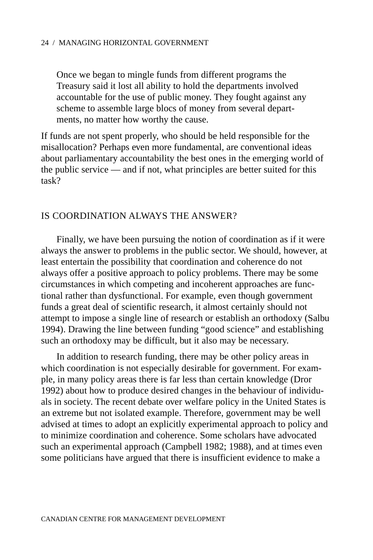Once we began to mingle funds from different programs the Treasury said it lost all ability to hold the departments involved accountable for the use of public money. They fought against any scheme to assemble large blocs of money from several departments, no matter how worthy the cause.

If funds are not spent properly, who should be held responsible for the misallocation? Perhaps even more fundamental, are conventional ideas about parliamentary accountability the best ones in the emerging world of the public service — and if not, what principles are better suited for this task?

## IS COORDINATION ALWAYS THE ANSWER?

Finally, we have been pursuing the notion of coordination as if it were always the answer to problems in the public sector. We should, however, at least entertain the possibility that coordination and coherence do not always offer a positive approach to policy problems. There may be some circumstances in which competing and incoherent approaches are functional rather than dysfunctional. For example, even though government funds a great deal of scientific research, it almost certainly should not attempt to impose a single line of research or establish an orthodoxy (Salbu 1994). Drawing the line between funding "good science" and establishing such an orthodoxy may be difficult, but it also may be necessary.

In addition to research funding, there may be other policy areas in which coordination is not especially desirable for government. For example, in many policy areas there is far less than certain knowledge (Dror 1992) about how to produce desired changes in the behaviour of individuals in society. The recent debate over welfare policy in the United States is an extreme but not isolated example. Therefore, government may be well advised at times to adopt an explicitly experimental approach to policy and to minimize coordination and coherence. Some scholars have advocated such an experimental approach (Campbell 1982; 1988), and at times even some politicians have argued that there is insufficient evidence to make a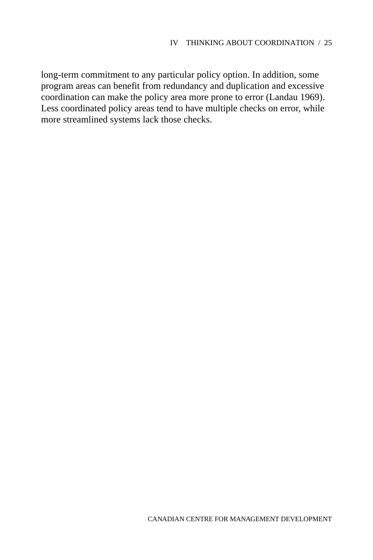long-term commitment to any particular policy option. In addition, some program areas can benefit from redundancy and duplication and excessive coordination can make the policy area more prone to error (Landau 1969). Less coordinated policy areas tend to have multiple checks on error, while more streamlined systems lack those checks.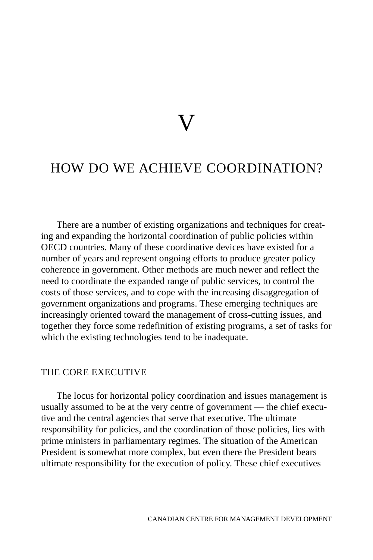# V

# HOW DO WE ACHIEVE COORDINATION?

There are a number of existing organizations and techniques for creating and expanding the horizontal coordination of public policies within OECD countries. Many of these coordinative devices have existed for a number of years and represent ongoing efforts to produce greater policy coherence in government. Other methods are much newer and reflect the need to coordinate the expanded range of public services, to control the costs of those services, and to cope with the increasing disaggregation of government organizations and programs. These emerging techniques are increasingly oriented toward the management of cross-cutting issues, and together they force some redefinition of existing programs, a set of tasks for which the existing technologies tend to be inadequate.

## THE CORE EXECUTIVE

The locus for horizontal policy coordination and issues management is usually assumed to be at the very centre of government — the chief executive and the central agencies that serve that executive. The ultimate responsibility for policies, and the coordination of those policies, lies with prime ministers in parliamentary regimes. The situation of the American President is somewhat more complex, but even there the President bears ultimate responsibility for the execution of policy. These chief executives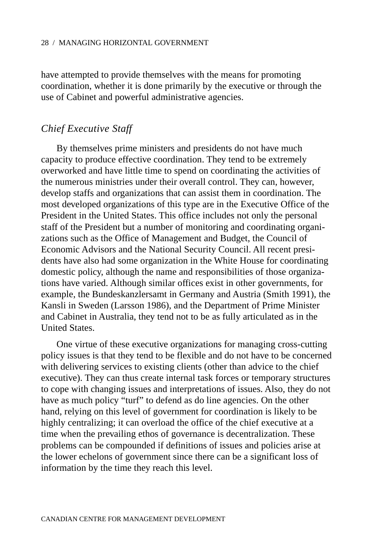have attempted to provide themselves with the means for promoting coordination, whether it is done primarily by the executive or through the use of Cabinet and powerful administrative agencies.

## *Chief Executive Staff*

By themselves prime ministers and presidents do not have much capacity to produce effective coordination. They tend to be extremely overworked and have little time to spend on coordinating the activities of the numerous ministries under their overall control. They can, however, develop staffs and organizations that can assist them in coordination. The most developed organizations of this type are in the Executive Office of the President in the United States. This office includes not only the personal staff of the President but a number of monitoring and coordinating organizations such as the Office of Management and Budget, the Council of Economic Advisors and the National Security Council. All recent presidents have also had some organization in the White House for coordinating domestic policy, although the name and responsibilities of those organizations have varied. Although similar offices exist in other governments, for example, the Bundeskanzlersamt in Germany and Austria (Smith 1991), the Kansli in Sweden (Larsson 1986), and the Department of Prime Minister and Cabinet in Australia, they tend not to be as fully articulated as in the United States.

One virtue of these executive organizations for managing cross-cutting policy issues is that they tend to be flexible and do not have to be concerned with delivering services to existing clients (other than advice to the chief executive). They can thus create internal task forces or temporary structures to cope with changing issues and interpretations of issues. Also, they do not have as much policy "turf" to defend as do line agencies. On the other hand, relying on this level of government for coordination is likely to be highly centralizing; it can overload the office of the chief executive at a time when the prevailing ethos of governance is decentralization. These problems can be compounded if definitions of issues and policies arise at the lower echelons of government since there can be a significant loss of information by the time they reach this level.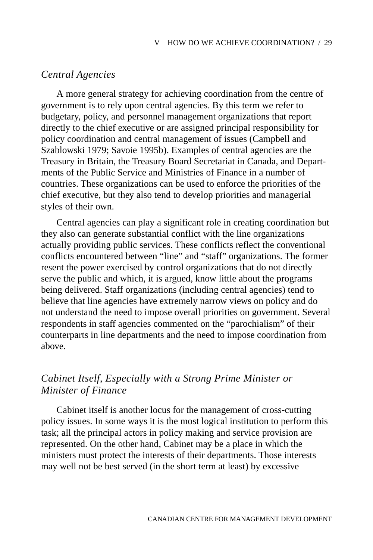## *Central Agencies*

A more general strategy for achieving coordination from the centre of government is to rely upon central agencies. By this term we refer to budgetary, policy, and personnel management organizations that report directly to the chief executive or are assigned principal responsibility for policy coordination and central management of issues (Campbell and Szablowski 1979; Savoie 1995b). Examples of central agencies are the Treasury in Britain, the Treasury Board Secretariat in Canada, and Departments of the Public Service and Ministries of Finance in a number of countries. These organizations can be used to enforce the priorities of the chief executive, but they also tend to develop priorities and managerial styles of their own.

Central agencies can play a significant role in creating coordination but they also can generate substantial conflict with the line organizations actually providing public services. These conflicts reflect the conventional conflicts encountered between "line" and "staff" organizations. The former resent the power exercised by control organizations that do not directly serve the public and which, it is argued, know little about the programs being delivered. Staff organizations (including central agencies) tend to believe that line agencies have extremely narrow views on policy and do not understand the need to impose overall priorities on government. Several respondents in staff agencies commented on the "parochialism" of their counterparts in line departments and the need to impose coordination from above.

# *Cabinet Itself, Especially with a Strong Prime Minister or Minister of Finance*

Cabinet itself is another locus for the management of cross-cutting policy issues. In some ways it is the most logical institution to perform this task; all the principal actors in policy making and service provision are represented. On the other hand, Cabinet may be a place in which the ministers must protect the interests of their departments. Those interests may well not be best served (in the short term at least) by excessive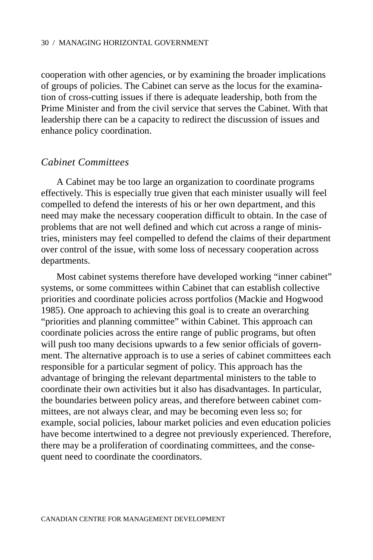cooperation with other agencies, or by examining the broader implications of groups of policies. The Cabinet can serve as the locus for the examination of cross-cutting issues if there is adequate leadership, both from the Prime Minister and from the civil service that serves the Cabinet. With that leadership there can be a capacity to redirect the discussion of issues and enhance policy coordination.

### *Cabinet Committees*

A Cabinet may be too large an organization to coordinate programs effectively. This is especially true given that each minister usually will feel compelled to defend the interests of his or her own department, and this need may make the necessary cooperation difficult to obtain. In the case of problems that are not well defined and which cut across a range of ministries, ministers may feel compelled to defend the claims of their department over control of the issue, with some loss of necessary cooperation across departments.

Most cabinet systems therefore have developed working "inner cabinet" systems, or some committees within Cabinet that can establish collective priorities and coordinate policies across portfolios (Mackie and Hogwood 1985). One approach to achieving this goal is to create an overarching "priorities and planning committee" within Cabinet. This approach can coordinate policies across the entire range of public programs, but often will push too many decisions upwards to a few senior officials of government. The alternative approach is to use a series of cabinet committees each responsible for a particular segment of policy. This approach has the advantage of bringing the relevant departmental ministers to the table to coordinate their own activities but it also has disadvantages. In particular, the boundaries between policy areas, and therefore between cabinet committees, are not always clear, and may be becoming even less so; for example, social policies, labour market policies and even education policies have become intertwined to a degree not previously experienced. Therefore, there may be a proliferation of coordinating committees, and the consequent need to coordinate the coordinators.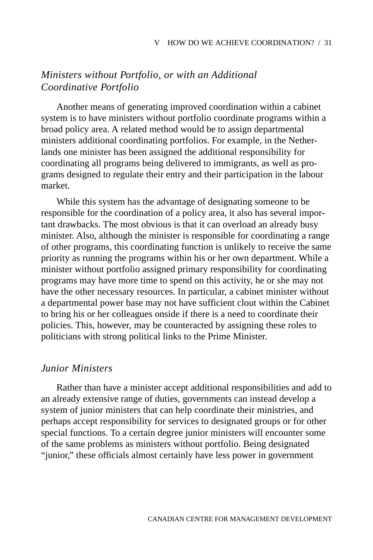# *Ministers without Portfolio, or with an Additional Coordinative Portfolio*

Another means of generating improved coordination within a cabinet system is to have ministers without portfolio coordinate programs within a broad policy area. A related method would be to assign departmental ministers additional coordinating portfolios. For example, in the Netherlands one minister has been assigned the additional responsibility for coordinating all programs being delivered to immigrants, as well as programs designed to regulate their entry and their participation in the labour market.

While this system has the advantage of designating someone to be responsible for the coordination of a policy area, it also has several important drawbacks. The most obvious is that it can overload an already busy minister. Also, although the minister is responsible for coordinating a range of other programs, this coordinating function is unlikely to receive the same priority as running the programs within his or her own department. While a minister without portfolio assigned primary responsibility for coordinating programs may have more time to spend on this activity, he or she may not have the other necessary resources. In particular, a cabinet minister without a departmental power base may not have sufficient clout within the Cabinet to bring his or her colleagues onside if there is a need to coordinate their policies. This, however, may be counteracted by assigning these roles to politicians with strong political links to the Prime Minister.

### *Junior Ministers*

Rather than have a minister accept additional responsibilities and add to an already extensive range of duties, governments can instead develop a system of junior ministers that can help coordinate their ministries, and perhaps accept responsibility for services to designated groups or for other special functions. To a certain degree junior ministers will encounter some of the same problems as ministers without portfolio. Being designated "junior," these officials almost certainly have less power in government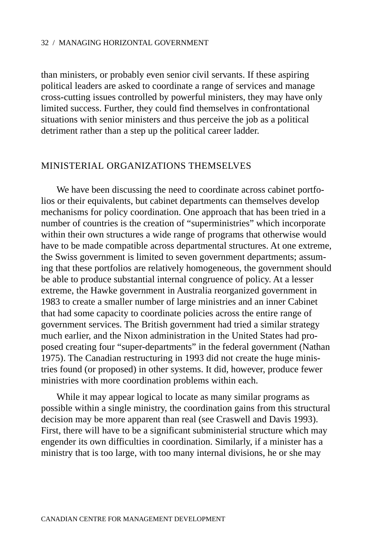than ministers, or probably even senior civil servants. If these aspiring political leaders are asked to coordinate a range of services and manage cross-cutting issues controlled by powerful ministers, they may have only limited success. Further, they could find themselves in confrontational situations with senior ministers and thus perceive the job as a political detriment rather than a step up the political career ladder.

### MINISTERIAL ORGANIZATIONS THEMSELVES

We have been discussing the need to coordinate across cabinet portfolios or their equivalents, but cabinet departments can themselves develop mechanisms for policy coordination. One approach that has been tried in a number of countries is the creation of "superministries" which incorporate within their own structures a wide range of programs that otherwise would have to be made compatible across departmental structures. At one extreme, the Swiss government is limited to seven government departments; assuming that these portfolios are relatively homogeneous, the government should be able to produce substantial internal congruence of policy. At a lesser extreme, the Hawke government in Australia reorganized government in 1983 to create a smaller number of large ministries and an inner Cabinet that had some capacity to coordinate policies across the entire range of government services. The British government had tried a similar strategy much earlier, and the Nixon administration in the United States had proposed creating four "super-departments" in the federal government (Nathan 1975). The Canadian restructuring in 1993 did not create the huge ministries found (or proposed) in other systems. It did, however, produce fewer ministries with more coordination problems within each.

While it may appear logical to locate as many similar programs as possible within a single ministry, the coordination gains from this structural decision may be more apparent than real (see Craswell and Davis 1993). First, there will have to be a significant subministerial structure which may engender its own difficulties in coordination. Similarly, if a minister has a ministry that is too large, with too many internal divisions, he or she may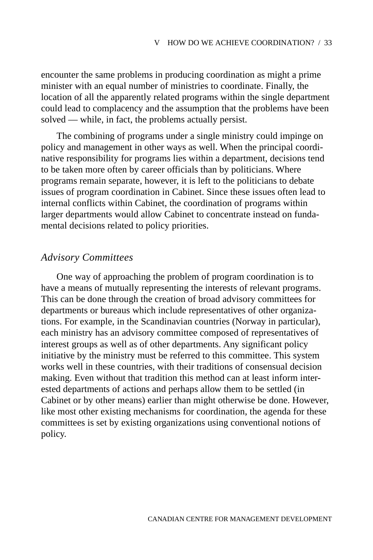encounter the same problems in producing coordination as might a prime minister with an equal number of ministries to coordinate. Finally, the location of all the apparently related programs within the single department could lead to complacency and the assumption that the problems have been solved — while, in fact, the problems actually persist.

The combining of programs under a single ministry could impinge on policy and management in other ways as well. When the principal coordinative responsibility for programs lies within a department, decisions tend to be taken more often by career officials than by politicians. Where programs remain separate, however, it is left to the politicians to debate issues of program coordination in Cabinet. Since these issues often lead to internal conflicts within Cabinet, the coordination of programs within larger departments would allow Cabinet to concentrate instead on fundamental decisions related to policy priorities.

# *Advisory Committees*

One way of approaching the problem of program coordination is to have a means of mutually representing the interests of relevant programs. This can be done through the creation of broad advisory committees for departments or bureaus which include representatives of other organizations. For example, in the Scandinavian countries (Norway in particular), each ministry has an advisory committee composed of representatives of interest groups as well as of other departments. Any significant policy initiative by the ministry must be referred to this committee. This system works well in these countries, with their traditions of consensual decision making. Even without that tradition this method can at least inform interested departments of actions and perhaps allow them to be settled (in Cabinet or by other means) earlier than might otherwise be done. However, like most other existing mechanisms for coordination, the agenda for these committees is set by existing organizations using conventional notions of policy.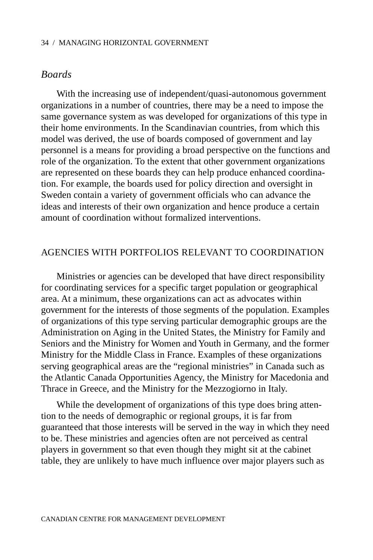# *Boards*

With the increasing use of independent/quasi-autonomous government organizations in a number of countries, there may be a need to impose the same governance system as was developed for organizations of this type in their home environments. In the Scandinavian countries, from which this model was derived, the use of boards composed of government and lay personnel is a means for providing a broad perspective on the functions and role of the organization. To the extent that other government organizations are represented on these boards they can help produce enhanced coordination. For example, the boards used for policy direction and oversight in Sweden contain a variety of government officials who can advance the ideas and interests of their own organization and hence produce a certain amount of coordination without formalized interventions.

## AGENCIES WITH PORTFOLIOS RELEVANT TO COORDINATION

Ministries or agencies can be developed that have direct responsibility for coordinating services for a specific target population or geographical area. At a minimum, these organizations can act as advocates within government for the interests of those segments of the population. Examples of organizations of this type serving particular demographic groups are the Administration on Aging in the United States, the Ministry for Family and Seniors and the Ministry for Women and Youth in Germany, and the former Ministry for the Middle Class in France. Examples of these organizations serving geographical areas are the "regional ministries" in Canada such as the Atlantic Canada Opportunities Agency, the Ministry for Macedonia and Thrace in Greece, and the Ministry for the Mezzogiorno in Italy.

While the development of organizations of this type does bring attention to the needs of demographic or regional groups, it is far from guaranteed that those interests will be served in the way in which they need to be. These ministries and agencies often are not perceived as central players in government so that even though they might sit at the cabinet table, they are unlikely to have much influence over major players such as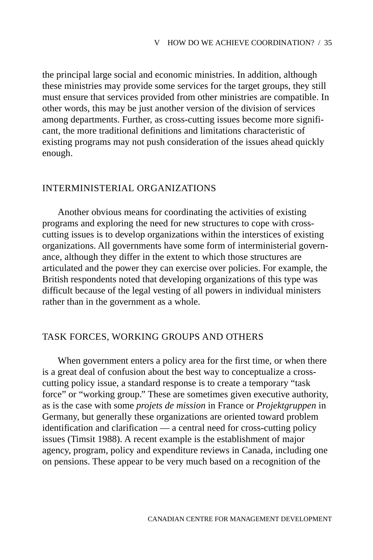the principal large social and economic ministries. In addition, although these ministries may provide some services for the target groups, they still must ensure that services provided from other ministries are compatible. In other words, this may be just another version of the division of services among departments. Further, as cross-cutting issues become more significant, the more traditional definitions and limitations characteristic of existing programs may not push consideration of the issues ahead quickly enough.

## INTERMINISTERIAL ORGANIZATIONS

Another obvious means for coordinating the activities of existing programs and exploring the need for new structures to cope with crosscutting issues is to develop organizations within the interstices of existing organizations. All governments have some form of interministerial governance, although they differ in the extent to which those structures are articulated and the power they can exercise over policies. For example, the British respondents noted that developing organizations of this type was difficult because of the legal vesting of all powers in individual ministers rather than in the government as a whole.

## TASK FORCES, WORKING GROUPS AND OTHERS

When government enters a policy area for the first time, or when there is a great deal of confusion about the best way to conceptualize a crosscutting policy issue, a standard response is to create a temporary "task force" or "working group." These are sometimes given executive authority, as is the case with some *projets de mission* in France or *Projektgruppen* in Germany, but generally these organizations are oriented toward problem identification and clarification — a central need for cross-cutting policy issues (Timsit 1988). A recent example is the establishment of major agency, program, policy and expenditure reviews in Canada, including one on pensions. These appear to be very much based on a recognition of the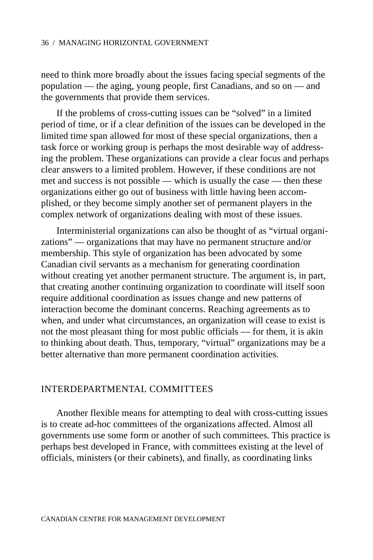need to think more broadly about the issues facing special segments of the population — the aging, young people, first Canadians, and so on — and the governments that provide them services.

If the problems of cross-cutting issues can be "solved" in a limited period of time, or if a clear definition of the issues can be developed in the limited time span allowed for most of these special organizations, then a task force or working group is perhaps the most desirable way of addressing the problem. These organizations can provide a clear focus and perhaps clear answers to a limited problem. However, if these conditions are not met and success is not possible — which is usually the case — then these organizations either go out of business with little having been accomplished, or they become simply another set of permanent players in the complex network of organizations dealing with most of these issues.

Interministerial organizations can also be thought of as "virtual organizations" — organizations that may have no permanent structure and/or membership. This style of organization has been advocated by some Canadian civil servants as a mechanism for generating coordination without creating yet another permanent structure. The argument is, in part, that creating another continuing organization to coordinate will itself soon require additional coordination as issues change and new patterns of interaction become the dominant concerns. Reaching agreements as to when, and under what circumstances, an organization will cease to exist is not the most pleasant thing for most public officials — for them, it is akin to thinking about death. Thus, temporary, "virtual" organizations may be a better alternative than more permanent coordination activities.

## INTERDEPARTMENTAL COMMITTEES

Another flexible means for attempting to deal with cross-cutting issues is to create ad-hoc committees of the organizations affected. Almost all governments use some form or another of such committees. This practice is perhaps best developed in France, with committees existing at the level of officials, ministers (or their cabinets), and finally, as coordinating links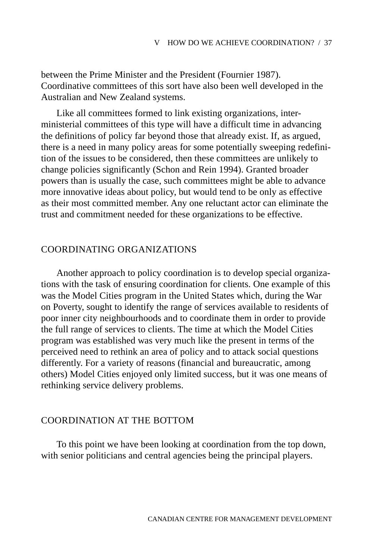between the Prime Minister and the President (Fournier 1987). Coordinative committees of this sort have also been well developed in the Australian and New Zealand systems.

Like all committees formed to link existing organizations, interministerial committees of this type will have a difficult time in advancing the definitions of policy far beyond those that already exist. If, as argued, there is a need in many policy areas for some potentially sweeping redefinition of the issues to be considered, then these committees are unlikely to change policies significantly (Schon and Rein 1994). Granted broader powers than is usually the case, such committees might be able to advance more innovative ideas about policy, but would tend to be only as effective as their most committed member. Any one reluctant actor can eliminate the trust and commitment needed for these organizations to be effective.

## COORDINATING ORGANIZATIONS

Another approach to policy coordination is to develop special organizations with the task of ensuring coordination for clients. One example of this was the Model Cities program in the United States which, during the War on Poverty, sought to identify the range of services available to residents of poor inner city neighbourhoods and to coordinate them in order to provide the full range of services to clients. The time at which the Model Cities program was established was very much like the present in terms of the perceived need to rethink an area of policy and to attack social questions differently. For a variety of reasons (financial and bureaucratic, among others) Model Cities enjoyed only limited success, but it was one means of rethinking service delivery problems.

### COORDINATION AT THE BOTTOM

To this point we have been looking at coordination from the top down, with senior politicians and central agencies being the principal players.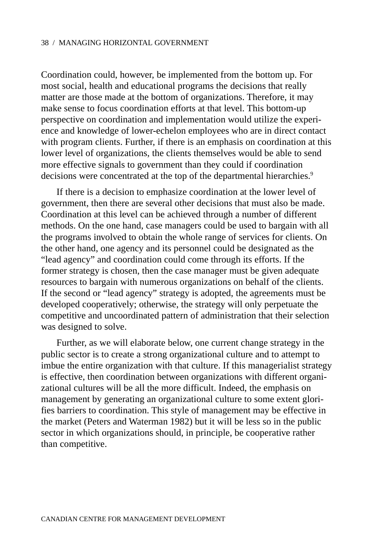Coordination could, however, be implemented from the bottom up. For most social, health and educational programs the decisions that really matter are those made at the bottom of organizations. Therefore, it may make sense to focus coordination efforts at that level. This bottom-up perspective on coordination and implementation would utilize the experience and knowledge of lower-echelon employees who are in direct contact with program clients. Further, if there is an emphasis on coordination at this lower level of organizations, the clients themselves would be able to send more effective signals to government than they could if coordination decisions were concentrated at the top of the departmental hierarchies.<sup>9</sup>

If there is a decision to emphasize coordination at the lower level of government, then there are several other decisions that must also be made. Coordination at this level can be achieved through a number of different methods. On the one hand, case managers could be used to bargain with all the programs involved to obtain the whole range of services for clients. On the other hand, one agency and its personnel could be designated as the "lead agency" and coordination could come through its efforts. If the former strategy is chosen, then the case manager must be given adequate resources to bargain with numerous organizations on behalf of the clients. If the second or "lead agency" strategy is adopted, the agreements must be developed cooperatively; otherwise, the strategy will only perpetuate the competitive and uncoordinated pattern of administration that their selection was designed to solve.

Further, as we will elaborate below, one current change strategy in the public sector is to create a strong organizational culture and to attempt to imbue the entire organization with that culture. If this managerialist strategy is effective, then coordination between organizations with different organizational cultures will be all the more difficult. Indeed, the emphasis on management by generating an organizational culture to some extent glorifies barriers to coordination. This style of management may be effective in the market (Peters and Waterman 1982) but it will be less so in the public sector in which organizations should, in principle, be cooperative rather than competitive.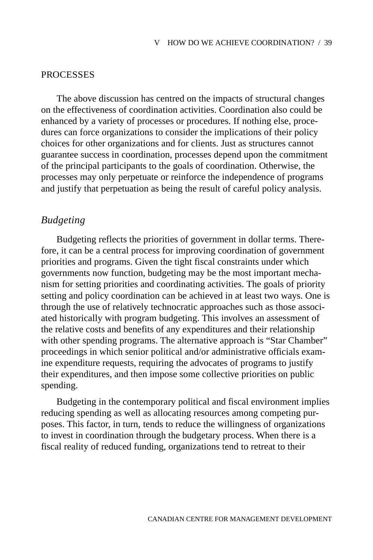## **PROCESSES**

The above discussion has centred on the impacts of structural changes on the effectiveness of coordination activities. Coordination also could be enhanced by a variety of processes or procedures. If nothing else, procedures can force organizations to consider the implications of their policy choices for other organizations and for clients. Just as structures cannot guarantee success in coordination, processes depend upon the commitment of the principal participants to the goals of coordination. Otherwise, the processes may only perpetuate or reinforce the independence of programs and justify that perpetuation as being the result of careful policy analysis.

# *Budgeting*

Budgeting reflects the priorities of government in dollar terms. Therefore, it can be a central process for improving coordination of government priorities and programs. Given the tight fiscal constraints under which governments now function, budgeting may be the most important mechanism for setting priorities and coordinating activities. The goals of priority setting and policy coordination can be achieved in at least two ways. One is through the use of relatively technocratic approaches such as those associated historically with program budgeting. This involves an assessment of the relative costs and benefits of any expenditures and their relationship with other spending programs. The alternative approach is "Star Chamber" proceedings in which senior political and/or administrative officials examine expenditure requests, requiring the advocates of programs to justify their expenditures, and then impose some collective priorities on public spending.

Budgeting in the contemporary political and fiscal environment implies reducing spending as well as allocating resources among competing purposes. This factor, in turn, tends to reduce the willingness of organizations to invest in coordination through the budgetary process. When there is a fiscal reality of reduced funding, organizations tend to retreat to their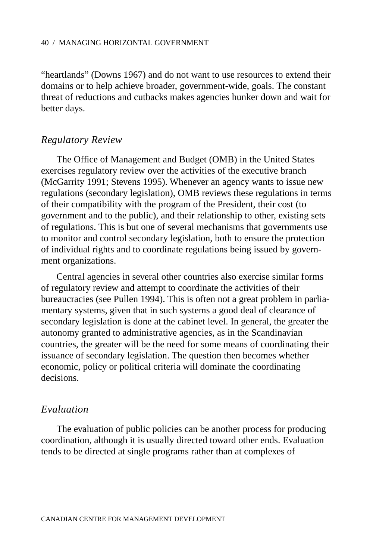"heartlands" (Downs 1967) and do not want to use resources to extend their domains or to help achieve broader, government-wide, goals. The constant threat of reductions and cutbacks makes agencies hunker down and wait for better days.

## *Regulatory Review*

The Office of Management and Budget (OMB) in the United States exercises regulatory review over the activities of the executive branch (McGarrity 1991; Stevens 1995). Whenever an agency wants to issue new regulations (secondary legislation), OMB reviews these regulations in terms of their compatibility with the program of the President, their cost (to government and to the public), and their relationship to other, existing sets of regulations. This is but one of several mechanisms that governments use to monitor and control secondary legislation, both to ensure the protection of individual rights and to coordinate regulations being issued by government organizations.

Central agencies in several other countries also exercise similar forms of regulatory review and attempt to coordinate the activities of their bureaucracies (see Pullen 1994). This is often not a great problem in parliamentary systems, given that in such systems a good deal of clearance of secondary legislation is done at the cabinet level. In general, the greater the autonomy granted to administrative agencies, as in the Scandinavian countries, the greater will be the need for some means of coordinating their issuance of secondary legislation. The question then becomes whether economic, policy or political criteria will dominate the coordinating decisions.

# *Evaluation*

The evaluation of public policies can be another process for producing coordination, although it is usually directed toward other ends. Evaluation tends to be directed at single programs rather than at complexes of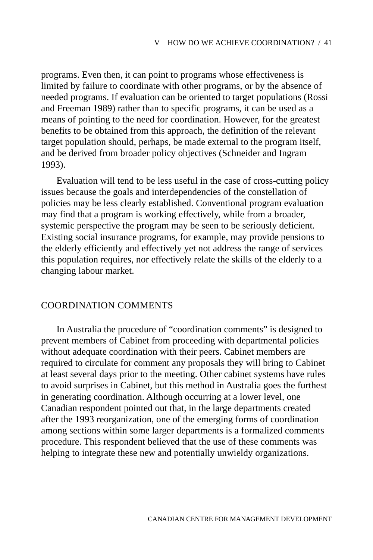programs. Even then, it can point to programs whose effectiveness is limited by failure to coordinate with other programs, or by the absence of needed programs. If evaluation can be oriented to target populations (Rossi and Freeman 1989) rather than to specific programs, it can be used as a means of pointing to the need for coordination. However, for the greatest benefits to be obtained from this approach, the definition of the relevant target population should, perhaps, be made external to the program itself, and be derived from broader policy objectives (Schneider and Ingram 1993).

Evaluation will tend to be less useful in the case of cross-cutting policy issues because the goals and interdependencies of the constellation of policies may be less clearly established. Conventional program evaluation may find that a program is working effectively, while from a broader, systemic perspective the program may be seen to be seriously deficient. Existing social insurance programs, for example, may provide pensions to the elderly efficiently and effectively yet not address the range of services this population requires, nor effectively relate the skills of the elderly to a changing labour market.

## COORDINATION COMMENTS

In Australia the procedure of "coordination comments" is designed to prevent members of Cabinet from proceeding with departmental policies without adequate coordination with their peers. Cabinet members are required to circulate for comment any proposals they will bring to Cabinet at least several days prior to the meeting. Other cabinet systems have rules to avoid surprises in Cabinet, but this method in Australia goes the furthest in generating coordination. Although occurring at a lower level, one Canadian respondent pointed out that, in the large departments created after the 1993 reorganization, one of the emerging forms of coordination among sections within some larger departments is a formalized comments procedure. This respondent believed that the use of these comments was helping to integrate these new and potentially unwieldy organizations.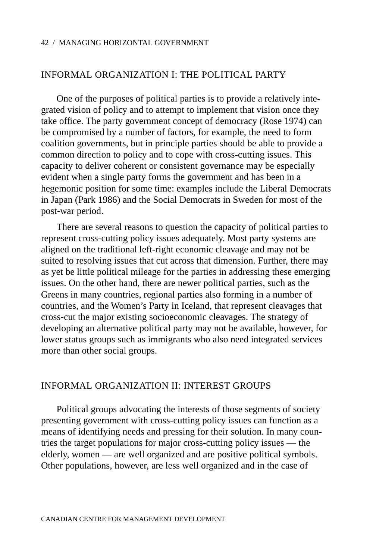## INFORMAL ORGANIZATION I: THE POLITICAL PARTY

One of the purposes of political parties is to provide a relatively integrated vision of policy and to attempt to implement that vision once they take office. The party government concept of democracy (Rose 1974) can be compromised by a number of factors, for example, the need to form coalition governments, but in principle parties should be able to provide a common direction to policy and to cope with cross-cutting issues. This capacity to deliver coherent or consistent governance may be especially evident when a single party forms the government and has been in a hegemonic position for some time: examples include the Liberal Democrats in Japan (Park 1986) and the Social Democrats in Sweden for most of the post-war period.

There are several reasons to question the capacity of political parties to represent cross-cutting policy issues adequately. Most party systems are aligned on the traditional left-right economic cleavage and may not be suited to resolving issues that cut across that dimension. Further, there may as yet be little political mileage for the parties in addressing these emerging issues. On the other hand, there are newer political parties, such as the Greens in many countries, regional parties also forming in a number of countries, and the Women's Party in Iceland, that represent cleavages that cross-cut the major existing socioeconomic cleavages. The strategy of developing an alternative political party may not be available, however, for lower status groups such as immigrants who also need integrated services more than other social groups.

## INFORMAL ORGANIZATION II: INTEREST GROUPS

Political groups advocating the interests of those segments of society presenting government with cross-cutting policy issues can function as a means of identifying needs and pressing for their solution. In many countries the target populations for major cross-cutting policy issues — the elderly, women — are well organized and are positive political symbols. Other populations, however, are less well organized and in the case of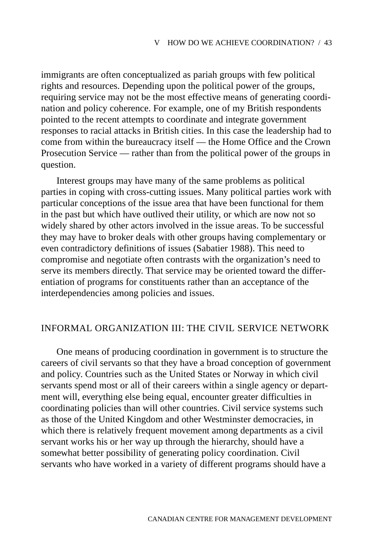immigrants are often conceptualized as pariah groups with few political rights and resources. Depending upon the political power of the groups, requiring service may not be the most effective means of generating coordination and policy coherence. For example, one of my British respondents pointed to the recent attempts to coordinate and integrate government responses to racial attacks in British cities. In this case the leadership had to come from within the bureaucracy itself — the Home Office and the Crown Prosecution Service — rather than from the political power of the groups in question.

Interest groups may have many of the same problems as political parties in coping with cross-cutting issues. Many political parties work with particular conceptions of the issue area that have been functional for them in the past but which have outlived their utility, or which are now not so widely shared by other actors involved in the issue areas. To be successful they may have to broker deals with other groups having complementary or even contradictory definitions of issues (Sabatier 1988). This need to compromise and negotiate often contrasts with the organization's need to serve its members directly. That service may be oriented toward the differentiation of programs for constituents rather than an acceptance of the interdependencies among policies and issues.

## INFORMAL ORGANIZATION III: THE CIVIL SERVICE NETWORK

One means of producing coordination in government is to structure the careers of civil servants so that they have a broad conception of government and policy. Countries such as the United States or Norway in which civil servants spend most or all of their careers within a single agency or department will, everything else being equal, encounter greater difficulties in coordinating policies than will other countries. Civil service systems such as those of the United Kingdom and other Westminster democracies, in which there is relatively frequent movement among departments as a civil servant works his or her way up through the hierarchy, should have a somewhat better possibility of generating policy coordination. Civil servants who have worked in a variety of different programs should have a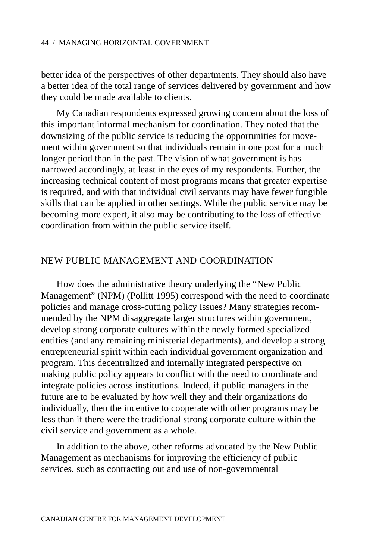better idea of the perspectives of other departments. They should also have a better idea of the total range of services delivered by government and how they could be made available to clients.

My Canadian respondents expressed growing concern about the loss of this important informal mechanism for coordination. They noted that the downsizing of the public service is reducing the opportunities for movement within government so that individuals remain in one post for a much longer period than in the past. The vision of what government is has narrowed accordingly, at least in the eyes of my respondents. Further, the increasing technical content of most programs means that greater expertise is required, and with that individual civil servants may have fewer fungible skills that can be applied in other settings. While the public service may be becoming more expert, it also may be contributing to the loss of effective coordination from within the public service itself.

## NEW PUBLIC MANAGEMENT AND COORDINATION

How does the administrative theory underlying the "New Public Management" (NPM) (Pollitt 1995) correspond with the need to coordinate policies and manage cross-cutting policy issues? Many strategies recommended by the NPM disaggregate larger structures within government, develop strong corporate cultures within the newly formed specialized entities (and any remaining ministerial departments), and develop a strong entrepreneurial spirit within each individual government organization and program. This decentralized and internally integrated perspective on making public policy appears to conflict with the need to coordinate and integrate policies across institutions. Indeed, if public managers in the future are to be evaluated by how well they and their organizations do individually, then the incentive to cooperate with other programs may be less than if there were the traditional strong corporate culture within the civil service and government as a whole.

In addition to the above, other reforms advocated by the New Public Management as mechanisms for improving the efficiency of public services, such as contracting out and use of non-governmental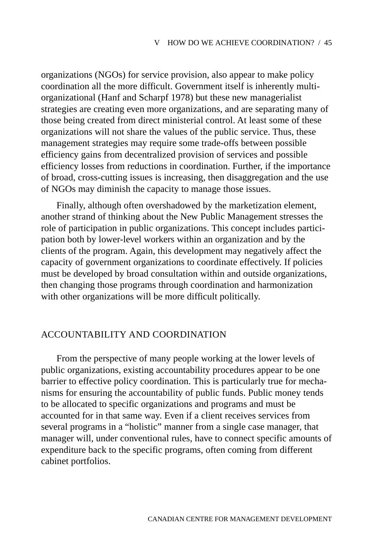organizations (NGOs) for service provision, also appear to make policy coordination all the more difficult. Government itself is inherently multiorganizational (Hanf and Scharpf 1978) but these new managerialist strategies are creating even more organizations, and are separating many of those being created from direct ministerial control. At least some of these organizations will not share the values of the public service. Thus, these management strategies may require some trade-offs between possible efficiency gains from decentralized provision of services and possible efficiency losses from reductions in coordination. Further, if the importance of broad, cross-cutting issues is increasing, then disaggregation and the use of NGOs may diminish the capacity to manage those issues.

Finally, although often overshadowed by the marketization element, another strand of thinking about the New Public Management stresses the role of participation in public organizations. This concept includes participation both by lower-level workers within an organization and by the clients of the program. Again, this development may negatively affect the capacity of government organizations to coordinate effectively. If policies must be developed by broad consultation within and outside organizations, then changing those programs through coordination and harmonization with other organizations will be more difficult politically.

## ACCOUNTABILITY AND COORDINATION

From the perspective of many people working at the lower levels of public organizations, existing accountability procedures appear to be one barrier to effective policy coordination. This is particularly true for mechanisms for ensuring the accountability of public funds. Public money tends to be allocated to specific organizations and programs and must be accounted for in that same way. Even if a client receives services from several programs in a "holistic" manner from a single case manager, that manager will, under conventional rules, have to connect specific amounts of expenditure back to the specific programs, often coming from different cabinet portfolios.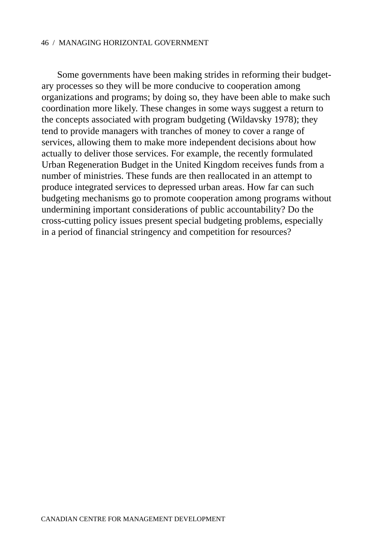Some governments have been making strides in reforming their budgetary processes so they will be more conducive to cooperation among organizations and programs; by doing so, they have been able to make such coordination more likely. These changes in some ways suggest a return to the concepts associated with program budgeting (Wildavsky 1978); they tend to provide managers with tranches of money to cover a range of services, allowing them to make more independent decisions about how actually to deliver those services. For example, the recently formulated Urban Regeneration Budget in the United Kingdom receives funds from a number of ministries. These funds are then reallocated in an attempt to produce integrated services to depressed urban areas. How far can such budgeting mechanisms go to promote cooperation among programs without undermining important considerations of public accountability? Do the cross-cutting policy issues present special budgeting problems, especially in a period of financial stringency and competition for resources?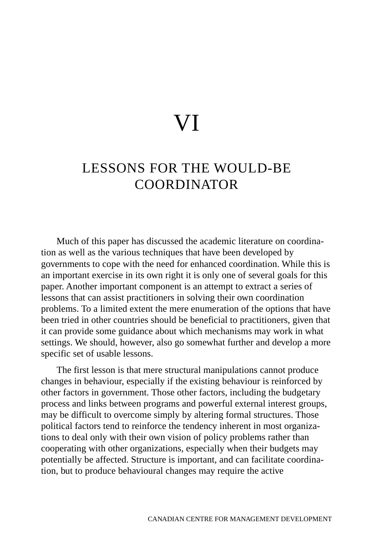# VI

# LESSONS FOR THE WOULD-BE COORDINATOR

Much of this paper has discussed the academic literature on coordination as well as the various techniques that have been developed by governments to cope with the need for enhanced coordination. While this is an important exercise in its own right it is only one of several goals for this paper. Another important component is an attempt to extract a series of lessons that can assist practitioners in solving their own coordination problems. To a limited extent the mere enumeration of the options that have been tried in other countries should be beneficial to practitioners, given that it can provide some guidance about which mechanisms may work in what settings. We should, however, also go somewhat further and develop a more specific set of usable lessons.

The first lesson is that mere structural manipulations cannot produce changes in behaviour, especially if the existing behaviour is reinforced by other factors in government. Those other factors, including the budgetary process and links between programs and powerful external interest groups, may be difficult to overcome simply by altering formal structures. Those political factors tend to reinforce the tendency inherent in most organizations to deal only with their own vision of policy problems rather than cooperating with other organizations, especially when their budgets may potentially be affected. Structure is important, and can facilitate coordination, but to produce behavioural changes may require the active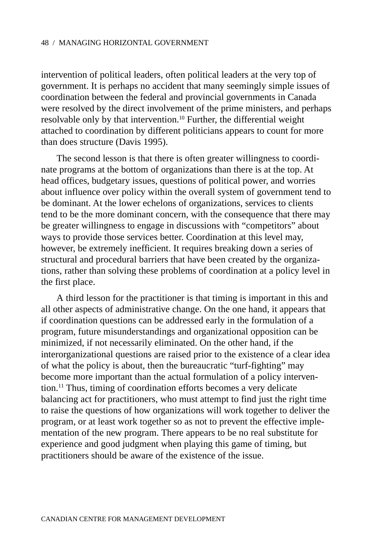intervention of political leaders, often political leaders at the very top of government. It is perhaps no accident that many seemingly simple issues of coordination between the federal and provincial governments in Canada were resolved by the direct involvement of the prime ministers, and perhaps resolvable only by that intervention.<sup>10</sup> Further, the differential weight attached to coordination by different politicians appears to count for more than does structure (Davis 1995).

The second lesson is that there is often greater willingness to coordinate programs at the bottom of organizations than there is at the top. At head offices, budgetary issues, questions of political power, and worries about influence over policy within the overall system of government tend to be dominant. At the lower echelons of organizations, services to clients tend to be the more dominant concern, with the consequence that there may be greater willingness to engage in discussions with "competitors" about ways to provide those services better. Coordination at this level may, however, be extremely inefficient. It requires breaking down a series of structural and procedural barriers that have been created by the organizations, rather than solving these problems of coordination at a policy level in the first place.

A third lesson for the practitioner is that timing is important in this and all other aspects of administrative change. On the one hand, it appears that if coordination questions can be addressed early in the formulation of a program, future misunderstandings and organizational opposition can be minimized, if not necessarily eliminated. On the other hand, if the interorganizational questions are raised prior to the existence of a clear idea of what the policy is about, then the bureaucratic "turf-fighting" may become more important than the actual formulation of a policy intervention.11 Thus, timing of coordination efforts becomes a very delicate balancing act for practitioners, who must attempt to find just the right time to raise the questions of how organizations will work together to deliver the program, or at least work together so as not to prevent the effective implementation of the new program. There appears to be no real substitute for experience and good judgment when playing this game of timing, but practitioners should be aware of the existence of the issue.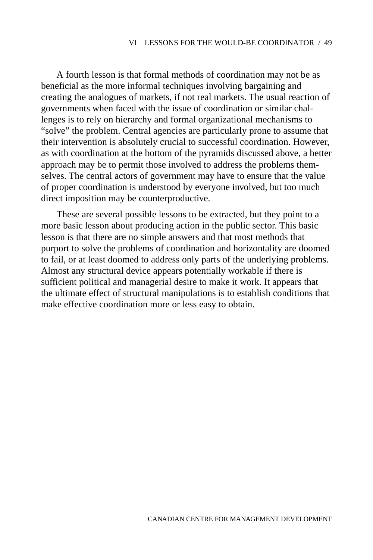A fourth lesson is that formal methods of coordination may not be as beneficial as the more informal techniques involving bargaining and creating the analogues of markets, if not real markets. The usual reaction of governments when faced with the issue of coordination or similar challenges is to rely on hierarchy and formal organizational mechanisms to "solve" the problem. Central agencies are particularly prone to assume that their intervention is absolutely crucial to successful coordination. However, as with coordination at the bottom of the pyramids discussed above, a better approach may be to permit those involved to address the problems themselves. The central actors of government may have to ensure that the value of proper coordination is understood by everyone involved, but too much direct imposition may be counterproductive.

These are several possible lessons to be extracted, but they point to a more basic lesson about producing action in the public sector. This basic lesson is that there are no simple answers and that most methods that purport to solve the problems of coordination and horizontality are doomed to fail, or at least doomed to address only parts of the underlying problems. Almost any structural device appears potentially workable if there is sufficient political and managerial desire to make it work. It appears that the ultimate effect of structural manipulations is to establish conditions that make effective coordination more or less easy to obtain.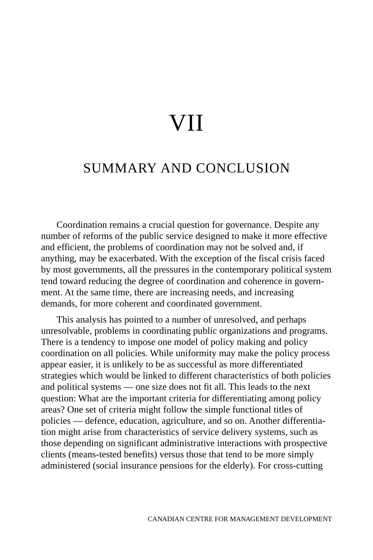# VII

# SUMMARY AND CONCLUSION

Coordination remains a crucial question for governance. Despite any number of reforms of the public service designed to make it more effective and efficient, the problems of coordination may not be solved and, if anything, may be exacerbated. With the exception of the fiscal crisis faced by most governments, all the pressures in the contemporary political system tend toward reducing the degree of coordination and coherence in government. At the same time, there are increasing needs, and increasing demands, for more coherent and coordinated government.

This analysis has pointed to a number of unresolved, and perhaps unresolvable, problems in coordinating public organizations and programs. There is a tendency to impose one model of policy making and policy coordination on all policies. While uniformity may make the policy process appear easier, it is unlikely to be as successful as more differentiated strategies which would be linked to different characteristics of both policies and political systems — one size does not fit all. This leads to the next question: What are the important criteria for differentiating among policy areas? One set of criteria might follow the simple functional titles of policies — defence, education, agriculture, and so on. Another differentiation might arise from characteristics of service delivery systems, such as those depending on significant administrative interactions with prospective clients (means-tested benefits) versus those that tend to be more simply administered (social insurance pensions for the elderly). For cross-cutting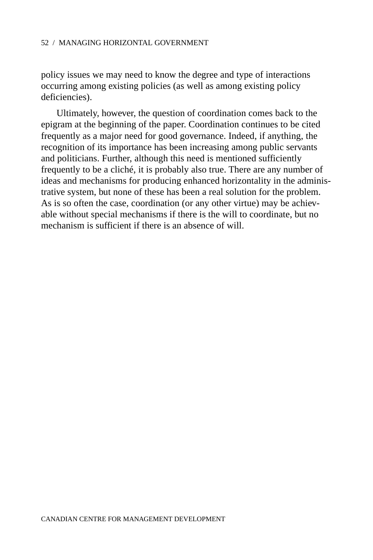policy issues we may need to know the degree and type of interactions occurring among existing policies (as well as among existing policy deficiencies).

Ultimately, however, the question of coordination comes back to the epigram at the beginning of the paper. Coordination continues to be cited frequently as a major need for good governance. Indeed, if anything, the recognition of its importance has been increasing among public servants and politicians. Further, although this need is mentioned sufficiently frequently to be a cliché, it is probably also true. There are any number of ideas and mechanisms for producing enhanced horizontality in the administrative system, but none of these has been a real solution for the problem. As is so often the case, coordination (or any other virtue) may be achievable without special mechanisms if there is the will to coordinate, but no mechanism is sufficient if there is an absence of will.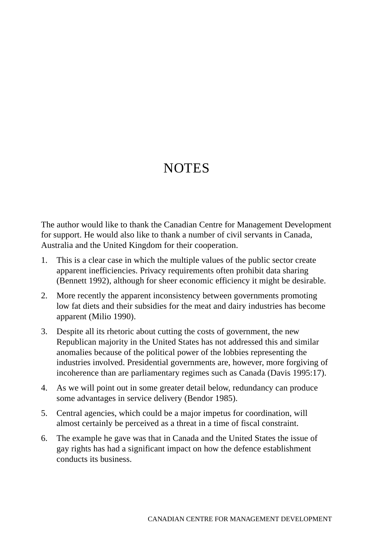# **NOTES**

The author would like to thank the Canadian Centre for Management Development for support. He would also like to thank a number of civil servants in Canada, Australia and the United Kingdom for their cooperation.

- 1. This is a clear case in which the multiple values of the public sector create apparent inefficiencies. Privacy requirements often prohibit data sharing (Bennett 1992), although for sheer economic efficiency it might be desirable.
- 2. More recently the apparent inconsistency between governments promoting low fat diets and their subsidies for the meat and dairy industries has become apparent (Milio 1990).
- 3. Despite all its rhetoric about cutting the costs of government, the new Republican majority in the United States has not addressed this and similar anomalies because of the political power of the lobbies representing the industries involved. Presidential governments are, however, more forgiving of incoherence than are parliamentary regimes such as Canada (Davis 1995:17).
- 4. As we will point out in some greater detail below, redundancy can produce some advantages in service delivery (Bendor 1985).
- 5. Central agencies, which could be a major impetus for coordination, will almost certainly be perceived as a threat in a time of fiscal constraint.
- 6. The example he gave was that in Canada and the United States the issue of gay rights has had a significant impact on how the defence establishment conducts its business.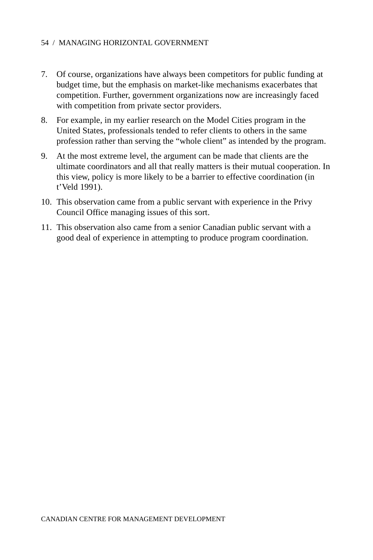- 7. Of course, organizations have always been competitors for public funding at budget time, but the emphasis on market-like mechanisms exacerbates that competition. Further, government organizations now are increasingly faced with competition from private sector providers.
- 8. For example, in my earlier research on the Model Cities program in the United States, professionals tended to refer clients to others in the same profession rather than serving the "whole client" as intended by the program.
- 9. At the most extreme level, the argument can be made that clients are the ultimate coordinators and all that really matters is their mutual cooperation. In this view, policy is more likely to be a barrier to effective coordination (in t'Veld 1991).
- 10. This observation came from a public servant with experience in the Privy Council Office managing issues of this sort.
- 11. This observation also came from a senior Canadian public servant with a good deal of experience in attempting to produce program coordination.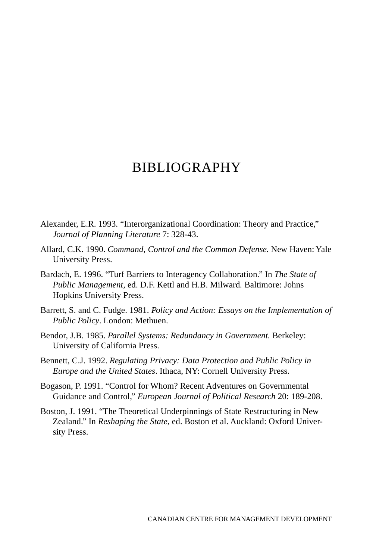# BIBLIOGRAPHY

- Alexander, E.R. 1993. "Interorganizational Coordination: Theory and Practice," *Journal of Planning Literature* 7: 328-43.
- Allard, C.K. 1990. *Command, Control and the Common Defense.* New Haven: Yale University Press.
- Bardach, E. 1996. "Turf Barriers to Interagency Collaboration." In *The State of Public Management,* ed. D.F. Kettl and H.B. Milward*.* Baltimore: Johns Hopkins University Press.
- Barrett, S. and C. Fudge. 1981. *Policy and Action: Essays on the Implementation of Public Policy*. London: Methuen.
- Bendor, J.B. 1985. *Parallel Systems: Redundancy in Government.* Berkeley: University of California Press.
- Bennett, C.J. 1992. *Regulating Privacy: Data Protection and Public Policy in Europe and the United States*. Ithaca, NY: Cornell University Press.
- Bogason, P. 1991. "Control for Whom? Recent Adventures on Governmental Guidance and Control," *European Journal of Political Research* 20: 189-208.
- Boston, J. 1991. "The Theoretical Underpinnings of State Restructuring in New Zealand." In *Reshaping the State*, ed. Boston et al. Auckland: Oxford University Press.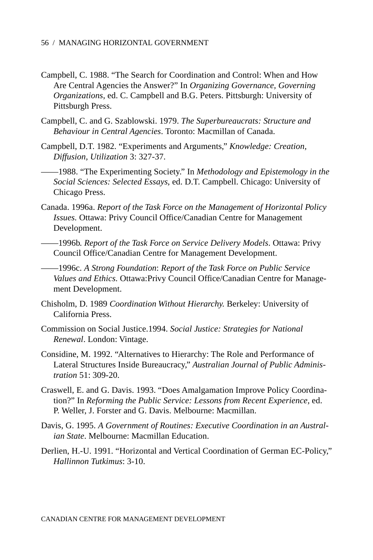- Campbell, C. 1988. "The Search for Coordination and Control: When and How Are Central Agencies the Answer?" In *Organizing Governance, Governing Organizations*, ed. C. Campbell and B.G. Peters. Pittsburgh: University of Pittsburgh Press.
- Campbell, C. and G. Szablowski. 1979. *The Superbureaucrats: Structure and Behaviour in Central Agencies*. Toronto: Macmillan of Canada.
- Campbell, D.T. 1982. "Experiments and Arguments," *Knowledge: Creation, Diffusion, Utilization* 3: 327-37.
- ——1988. "The Experimenting Society." In *Methodology and Epistemology in the Social Sciences: Selected Essays*, ed. D.T. Campbell. Chicago: University of Chicago Press.
- Canada. 1996a. *Report of the Task Force on the Management of Horizontal Policy Issues.* Ottawa: Privy Council Office/Canadian Centre for Management Development.
- ——1996b. *Report of the Task Force on Service Delivery Models*. Ottawa: Privy Council Office/Canadian Centre for Management Development.
- ——1996c. *A Strong Foundation*: *Report of the Task Force on Public Service Values and Ethics*. Ottawa:Privy Council Office/Canadian Centre for Management Development.
- Chisholm, D. 1989 *Coordination Without Hierarchy.* Berkeley: University of California Press.
- Commission on Social Justice.1994. *Social Justice: Strategies for National Renewal*. London: Vintage.
- Considine, M. 1992. "Alternatives to Hierarchy: The Role and Performance of Lateral Structures Inside Bureaucracy," *Australian Journal of Public Administration* 51: 309-20.
- Craswell, E. and G. Davis. 1993. "Does Amalgamation Improve Policy Coordination?" In *Reforming the Public Service: Lessons from Recent Experience,* ed. P. Weller, J. Forster and G. Davis. Melbourne: Macmillan.
- Davis, G. 1995. *A Government of Routines: Executive Coordination in an Australian State*. Melbourne: Macmillan Education.
- Derlien, H.-U. 1991. "Horizontal and Vertical Coordination of German EC-Policy," *Hallinnon Tutkimus*: 3-10.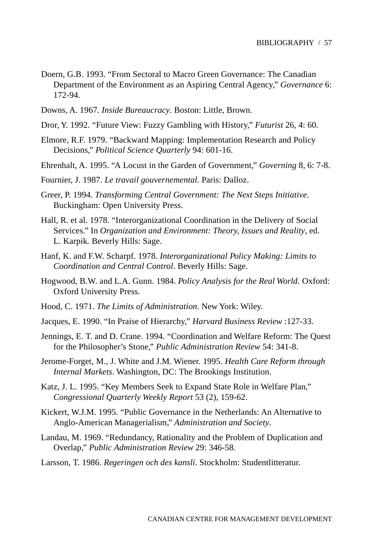- Doern, G.B. 1993. "From Sectoral to Macro Green Governance: The Canadian Department of the Environment as an Aspiring Central Agency," *Governance* 6: 172-94.
- Downs, A. 1967. *Inside Bureaucracy*. Boston: Little, Brown.
- Dror, Y. 1992. "Future View: Fuzzy Gambling with History," *Futurist* 26, 4: 60.
- Elmore, R.F. 1979. "Backward Mapping: Implementation Research and Policy Decisions," *Political Science Quarterly* 94: 601-16.
- Ehrenhalt, A. 1995. "A Locust in the Garden of Government," *Governing* 8, 6: 7-8.
- Fournier, J. 1987. *Le travail gouvernemental.* Paris: Dalloz.
- Greer, P. 1994. *Transforming Central Government: The Next Steps Initiative*. Buckingham: Open University Press.
- Hall, R. et al. 1978. "Interorganizational Coordination in the Delivery of Social Services." In *Organization and Environment: Theory, Issues and Reality*, ed. L. Karpik*.* Beverly Hills: Sage.
- Hanf, K. and F.W. Scharpf. 1978. *Interorganizational Policy Making: Limits to Coordination and Central Control*. Beverly Hills: Sage.
- Hogwood, B.W. and L.A. Gunn. 1984. *Policy Analysis for the Real World.* Oxford: Oxford University Press.
- Hood, C. 1971. *The Limits of Administration*. New York: Wiley.
- Jacques, E. 1990. "In Praise of Hierarchy," *Harvard Business Review* :127-33.
- Jennings, E. T. and D. Crane. 1994. "Coordination and Welfare Reform: The Quest for the Philosopher's Stone," *Public Administration Review* 54: 341-8.
- Jerome-Forget, M., J. White and J.M. Wiener. 1995. *Health Care Reform through Internal Markets*. Washington, DC: The Brookings Institution.
- Katz, J. L. 1995. "Key Members Seek to Expand State Role in Welfare Plan," *Congressional Quarterly Weekly Report* 53 (2), 159-62.
- Kickert, W.J.M. 1995. "Public Governance in the Netherlands: An Alternative to Anglo-American Managerialism," *Administration and Society*.
- Landau, M. 1969. "Redundancy, Rationality and the Problem of Duplication and Overlap," *Public Administration Review* 29: 346-58.
- Larsson, T. 1986. *Regeringen och des kansli*. Stockholm: Studentlitteratur.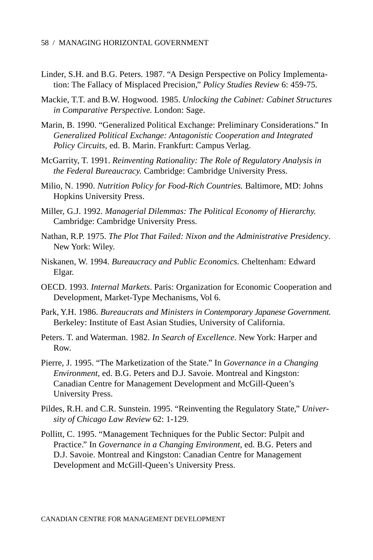- Linder, S.H. and B.G. Peters. 1987. "A Design Perspective on Policy Implementation: The Fallacy of Misplaced Precision," *Policy Studies Review* 6: 459-75.
- Mackie, T.T. and B.W. Hogwood. 1985. *Unlocking the Cabinet: Cabinet Structures in Comparative Perspective.* London: Sage.
- Marin, B. 1990. "Generalized Political Exchange: Preliminary Considerations." In *Generalized Political Exchange: Antagonistic Cooperation and Integrated Policy Circuits,* ed. B. Marin. Frankfurt: Campus Verlag.
- McGarrity, T. 1991. *Reinventing Rationality: The Role of Regulatory Analysis in the Federal Bureaucracy.* Cambridge: Cambridge University Press.
- Milio, N. 1990. *Nutrition Policy for Food-Rich Countries.* Baltimore, MD: Johns Hopkins University Press.
- Miller, G.J. 1992. *Managerial Dilemmas: The Political Economy of Hierarchy.* Cambridge: Cambridge University Press.
- Nathan, R.P. 1975. *The Plot That Failed: Nixon and the Administrative Presidency*. New York: Wiley.
- Niskanen, W. 1994. *Bureaucracy and Public Economics.* Cheltenham: Edward Elgar.
- OECD. 1993. *Internal Markets*. Paris: Organization for Economic Cooperation and Development, Market-Type Mechanisms, Vol 6.
- Park, Y.H. 1986. *Bureaucrats and Ministers in Contemporary Japanese Government.* Berkeley: Institute of East Asian Studies, University of California.
- Peters. T. and Waterman. 1982. *In Search of Excellence*. New York: Harper and Row.
- Pierre, J. 1995. "The Marketization of the State." In *Governance in a Changing Environment,* ed. B.G. Peters and D.J. Savoie. Montreal and Kingston: Canadian Centre for Management Development and McGill-Queen's University Press.
- Pildes, R.H. and C.R. Sunstein. 1995. "Reinventing the Regulatory State," *University of Chicago Law Review* 62: 1-129.
- Pollitt, C. 1995. "Management Techniques for the Public Sector: Pulpit and Practice." In *Governance in a Changing Environment*, ed. B.G. Peters and D.J. Savoie. Montreal and Kingston: Canadian Centre for Management Development and McGill-Queen's University Press.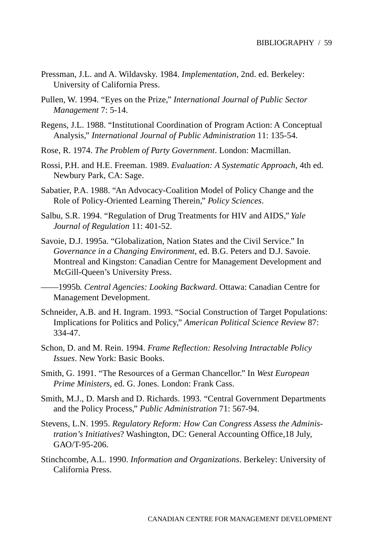- Pressman, J.L. and A. Wildavsky. 1984. *Implementation*, 2nd. ed. Berkeley: University of California Press.
- Pullen, W. 1994. "Eyes on the Prize," *International Journal of Public Sector Management* 7: 5-14.
- Regens, J.L. 1988. "Institutional Coordination of Program Action: A Conceptual Analysis," *International Journal of Public Administration* 11: 135-54.
- Rose, R. 1974. *The Problem of Party Government*. London: Macmillan.
- Rossi, P.H. and H.E. Freeman. 1989. *Evaluation: A Systematic Approach*, 4th ed. Newbury Park, CA: Sage.
- Sabatier, P.A. 1988. "An Advocacy-Coalition Model of Policy Change and the Role of Policy-Oriented Learning Therein," *Policy Sciences*.
- Salbu, S.R. 1994. "Regulation of Drug Treatments for HIV and AIDS," *Yale Journal of Regulation* 11: 401-52.
- Savoie, D.J. 1995a. "Globalization, Nation States and the Civil Service." In *Governance in a Changing Environment*, ed. B.G. Peters and D.J. Savoie. Montreal and Kingston: Canadian Centre for Management Development and McGill-Queen's University Press.
- ——1995b. *Central Agencies: Looking Backward*. Ottawa: Canadian Centre for Management Development.
- Schneider, A.B. and H. Ingram. 1993. "Social Construction of Target Populations: Implications for Politics and Policy," *American Political Science Review* 87: 334-47.
- Schon, D. and M. Rein. 1994. *Frame Reflection: Resolving Intractable Policy Issues*. New York: Basic Books.
- Smith, G. 1991. "The Resources of a German Chancellor." In *West European Prime Ministers*, ed. G. Jones. London: Frank Cass.
- Smith, M.J., D. Marsh and D. Richards. 1993. "Central Government Departments and the Policy Process," *Public Administration* 71: 567-94.
- Stevens, L.N. 1995. *Regulatory Reform: How Can Congress Assess the Administration's Initiatives*? Washington, DC: General Accounting Office,18 July, GAO/T-95-206.
- Stinchcombe, A.L. 1990. *Information and Organizations*. Berkeley: University of California Press.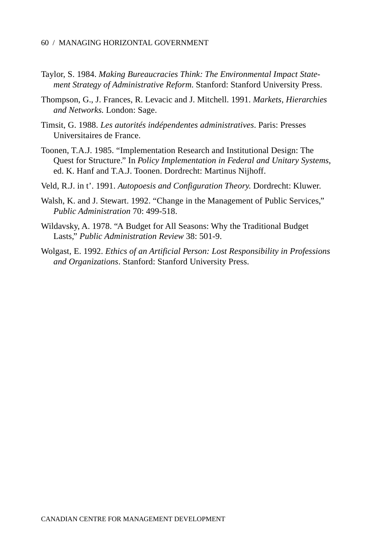- Taylor, S. 1984. *Making Bureaucracies Think: The Environmental Impact Statement Strategy of Administrative Reform*. Stanford: Stanford University Press.
- Thompson, G., J. Frances, R. Levacic and J. Mitchell. 1991. *Markets, Hierarchies and Networks.* London: Sage.
- Timsit, G. 1988. *Les autorités indépendentes administratives*. Paris: Presses Universitaires de France.
- Toonen, T.A.J. 1985. "Implementation Research and Institutional Design: The Quest for Structure." In *Policy Implementation in Federal and Unitary Systems*, ed. K. Hanf and T.A.J. Toonen. Dordrecht: Martinus Nijhoff.
- Veld, R.J. in t'. 1991. *Autopoesis and Configuration Theory.* Dordrecht: Kluwer.
- Walsh, K. and J. Stewart. 1992. "Change in the Management of Public Services," *Public Administration* 70: 499-518.
- Wildavsky, A. 1978. "A Budget for All Seasons: Why the Traditional Budget Lasts," *Public Administration Review* 38: 501-9.
- Wolgast, E. 1992. *Ethics of an Artificial Person: Lost Responsibility in Professions and Organizations*. Stanford: Stanford University Press.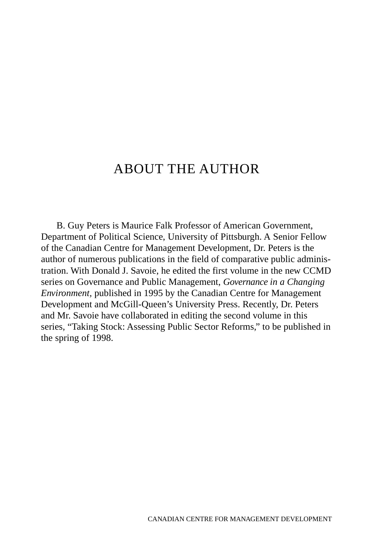# ABOUT THE AUTHOR

B. Guy Peters is Maurice Falk Professor of American Government, Department of Political Science, University of Pittsburgh. A Senior Fellow of the Canadian Centre for Management Development, Dr. Peters is the author of numerous publications in the field of comparative public administration. With Donald J. Savoie, he edited the first volume in the new CCMD series on Governance and Public Management, *Governance in a Changing Environment,* published in 1995 by the Canadian Centre for Management Development and McGill-Queen's University Press. Recently, Dr. Peters and Mr. Savoie have collaborated in editing the second volume in this series, "Taking Stock: Assessing Public Sector Reforms," to be published in the spring of 1998.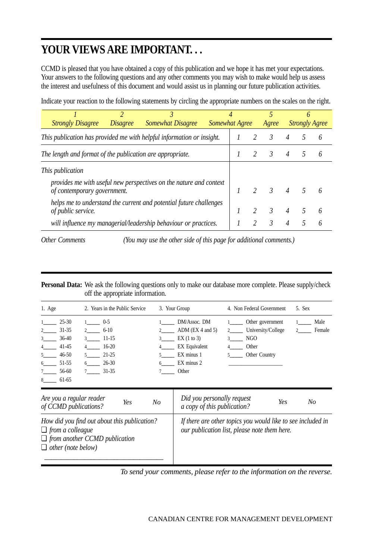# **YOUR VIEWS ARE IMPORTANT. . .**

CCMD is pleased that you have obtained a copy of this publication and we hope it has met your expectations. Your answers to the following questions and any other comments you may wish to make would help us assess the interest and usefulness of this document and would assist us in planning our future publication activities.

Indicate your reaction to the following statements by circling the appropriate numbers on the scales on the right.

| <b>Strongly Disagree</b>                                                                          | <b>Somewhat Disagree</b><br><i>Disagree</i> |  |  | 4<br>Somewhat Agree |                | Agree         |                | 6<br><b>Strongly Agree</b> |   |
|---------------------------------------------------------------------------------------------------|---------------------------------------------|--|--|---------------------|----------------|---------------|----------------|----------------------------|---|
| This publication has provided me with helpful information or insight.                             |                                             |  |  |                     |                | $\mathcal{R}$ |                |                            | h |
| The length and format of the publication are appropriate.                                         |                                             |  |  | $\mathcal{R}$       | $\overline{4}$ |               |                |                            |   |
| <i>This publication</i>                                                                           |                                             |  |  |                     |                |               |                |                            |   |
| provides me with useful new perspectives on the nature and context<br>of contemporary government. |                                             |  |  |                     |                | $\frac{3}{2}$ | $\overline{4}$ |                            |   |
| helps me to understand the current and potential future challenges<br>of public service.          |                                             |  |  |                     | $\mathcal{R}$  | 4             |                |                            |   |
| will influence my managerial/leadership behaviour or practices.                                   |                                             |  |  |                     |                | $\mathcal{R}$ |                |                            |   |

*Other Comments (You may use the other side of this page for additional comments.)*

**Personal Data:** We ask the following questions only to make our database more complete. Please supply/check off the appropriate information.

| 1. Age                                                                                       | 2. Years in the Public Service     | 3. Your Group                                         | 4. Non Federal Government                       | 5. Sex                       |
|----------------------------------------------------------------------------------------------|------------------------------------|-------------------------------------------------------|-------------------------------------------------|------------------------------|
| 25-30<br>$1 \quad \qquad$<br>31-35<br>$2 \left( \frac{1}{2} \right)$<br>$3^{\circ}$<br>36-40 | 1 $0-5$<br>2 $6-10$<br>$3 \t11-15$ | DM/Assoc. DM<br>2 ADM (EX 4 and 5)<br>$3$ EX (1 to 3) | Other government<br>2 University/College<br>NGO | Male<br>Female<br>$2 \equiv$ |
| $41-45$<br>$4\qquad$<br>5 46-50                                                              | $16-20$<br>21-25                   | 4 EX Equivalent<br>5 EX minus 1                       | Other<br>Other Country                          |                              |
| 51-55<br>$6\degree$<br>56-60<br>7<br>8<br>61-65                                              | 26-30<br>$7 \t31-35$               | 6 EX minus 2<br>Other                                 |                                                 |                              |

| Are you a regular reader                                                                                                                     | Did you personally request                                                                                  |
|----------------------------------------------------------------------------------------------------------------------------------------------|-------------------------------------------------------------------------------------------------------------|
| Yes                                                                                                                                          | Yes                                                                                                         |
| No                                                                                                                                           | No                                                                                                          |
| of CCMD publications?                                                                                                                        | a copy of this publication?                                                                                 |
| How did you find out about this publication?<br>$\Box$ from a colleague<br>$\Box$ from another CCMD publication<br>$\Box$ other (note below) | If there are other topics you would like to see included in<br>our publication list, please note them here. |

*To send your comments, please refer to the information on the reverse.*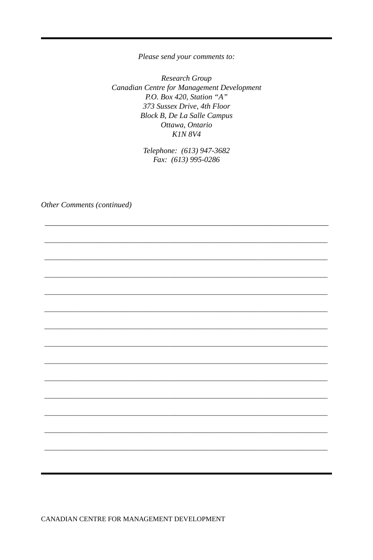Please send your comments to:

Research Group Canadian Centre for Management Development P.O. Box 420, Station "A" 373 Sussex Drive, 4th Floor **Block B, De La Salle Campus** Ottawa, Ontario **K1N 8V4** 

> Telephone: (613) 947-3682 Fax: (613) 995-0286

Other Comments (continued)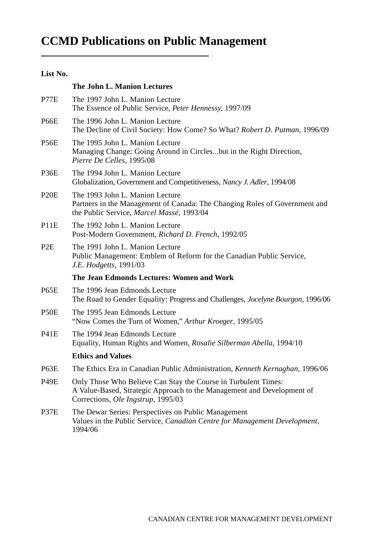# CCMD PUBLICATIONS ON PUBLIC MANAGEMENT / 65 **CCMD Publications on Public Management**

#### **List No.**

|                  | The John L. Manion Lectures                                                                                                                                                    |
|------------------|--------------------------------------------------------------------------------------------------------------------------------------------------------------------------------|
| P77E             | The 1997 John L. Manion Lecture<br>The Essence of Public Service, Peter Hennessy, 1997/09                                                                                      |
| P66E             | The 1996 John L. Manion Lecture<br>The Decline of Civil Society: How Come? So What? Robert D. Putman, 1996/09                                                                  |
| P56E             | The 1995 John L. Manion Lecture<br>Managing Change: Going Around in Circlesbut in the Right Direction,<br>Pierre De Celles, 1995/08                                            |
| P36E             | The 1994 John L. Manion Lecture<br>Globalization, Government and Competitiveness, Nancy J. Adler, 1994/08                                                                      |
| P20E             | The 1993 John L. Manion Lecture<br>Partners in the Management of Canada: The Changing Roles of Government and<br>the Public Service, Marcel Massé, 1993/04                     |
| P11E             | The 1992 John L. Manion Lecture<br>Post-Modern Government, Richard D. French, 1992/05                                                                                          |
| P <sub>2</sub> E | The 1991 John L. Manion Lecture<br>Public Management: Emblem of Reform for the Canadian Public Service,<br>J.E. Hodgetts, 1991/03                                              |
|                  | The Jean Edmonds Lectures: Women and Work                                                                                                                                      |
| P65E             | The 1996 Jean Edmonds Lecture<br>The Road to Gender Equality: Progress and Challenges, <i>Jocelyne Bourgon</i> , 1996/06                                                       |
| P50E             | The 1995 Jean Edmonds Lecture<br>"Now Comes the Turn of Women," Arthur Kroeger, 1995/05                                                                                        |
| <b>P41E</b>      | The 1994 Jean Edmonds Lecture<br>Equality, Human Rights and Women, Rosalie Silberman Abella, 1994/10                                                                           |
|                  | <b>Ethics and Values</b>                                                                                                                                                       |
| P63E             | The Ethics Era in Canadian Public Administration, Kenneth Kernaghan, 1996/06                                                                                                   |
| P49E             | Only Those Who Believe Can Stay the Course in Turbulent Times:<br>A Value-Based, Strategic Approach to the Management and Development of<br>Corrections, Ole Ingstrup, 1995/03 |
| P37E             | The Dewar Series: Perspectives on Public Management<br>Values in the Public Service, Canadian Centre for Management Development,<br>1994/06                                    |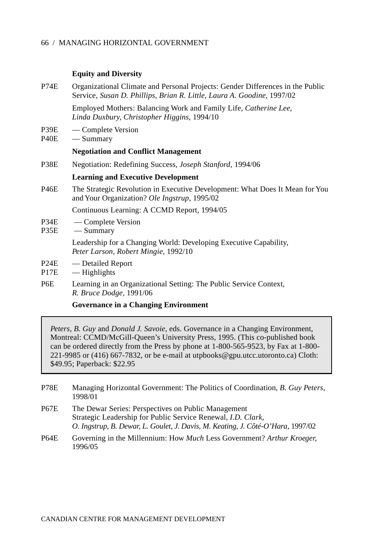#### **Equity and Diversity**

| P74E                     | Organizational Climate and Personal Projects: Gender Differences in the Public<br>Service, Susan D. Phillips, Brian R. Little, Laura A. Goodine, 1997/02 |  |  |  |
|--------------------------|----------------------------------------------------------------------------------------------------------------------------------------------------------|--|--|--|
|                          | Employed Mothers: Balancing Work and Family Life, Catherine Lee,<br>Linda Duxbury, Christopher Higgins, 1994/10                                          |  |  |  |
| P39E<br>P40E             | — Complete Version<br>— Summary                                                                                                                          |  |  |  |
|                          | <b>Negotiation and Conflict Management</b>                                                                                                               |  |  |  |
| P38E                     | Negotiation: Redefining Success, <i>Joseph Stanford</i> , 1994/06                                                                                        |  |  |  |
|                          | <b>Learning and Executive Development</b>                                                                                                                |  |  |  |
| P46E                     | The Strategic Revolution in Executive Development: What Does It Mean for You<br>and Your Organization? Ole Ingstrup, 1995/02                             |  |  |  |
|                          | Continuous Learning: A CCMD Report, 1994/05                                                                                                              |  |  |  |
| P34E<br>P35E             | — Complete Version<br>— Summary                                                                                                                          |  |  |  |
|                          | Leadership for a Changing World: Developing Executive Capability,<br>Peter Larson, Robert Mingie, 1992/10                                                |  |  |  |
| P24E<br>P <sub>17E</sub> | — Detailed Report<br>— Highlights                                                                                                                        |  |  |  |
| P6E                      | Learning in an Organizational Setting: The Public Service Context,<br>R. Bruce Dodge, 1991/06                                                            |  |  |  |

**Governance in a Changing Environment**

*Peters, B. Guy* and *Donald J. Savoie,* eds. Governance in a Changing Environment, Montreal: CCMD/McGill-Queen's University Press, 1995. (This co-published book can be ordered directly from the Press by phone at 1-800-565-9523, by Fax at 1-800- 221-9985 or (416) 667-7832, or be e-mail at utpbooks@gpu.utcc.utoronto.ca) Cloth: \$49.95; Paperback: \$22.95

| P78E | Managing Horizontal Government: The Politics of Coordination, B. Guy Peters,<br>1998/01                                                                                                                        |
|------|----------------------------------------------------------------------------------------------------------------------------------------------------------------------------------------------------------------|
| P67E | The Dewar Series: Perspectives on Public Management<br>Strategic Leadership for Public Service Renewal, <i>I.D. Clark</i> ,<br>O. Ingstrup, B. Dewar, L. Goulet, J. Davis, M. Keating, J. Côté-O'Hara, 1997/02 |
|      |                                                                                                                                                                                                                |

P64E Governing in the Millennium: How *Much* Less Government? *Arthur Kroeger,* 1996/05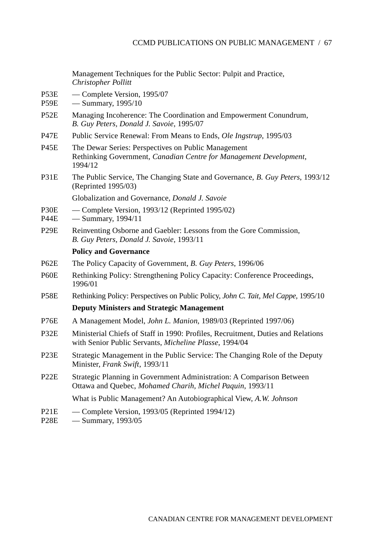Management Techniques for the Public Sector: Pulpit and Practice, *Christopher Pollitt*

- P53E Complete Version, 1995/07
- P59E Summary, 1995/10
- P52E Managing Incoherence: The Coordination and Empowerment Conundrum, *B. Guy Peters, Donald J. Savoie*, 1995/07
- P47E Public Service Renewal: From Means to Ends, *Ole Ingstrup*, 1995/03
- P45E The Dewar Series: Perspectives on Public Management Rethinking Government, *Canadian Centre for Management Development*, 1994/12
- P31E The Public Service, The Changing State and Governance, *B. Guy Peters*, 1993/12 (Reprinted 1995/03)

Globalization and Governance, *Donald J. Savoie*

- P30E Complete Version, 1993/12 (Reprinted 1995/02)
- P44E Summary, 1994/11
- P29E Reinventing Osborne and Gaebler: Lessons from the Gore Commission, *B. Guy Peters, Donald J. Savoie*, 1993/11

#### **Policy and Governance**

- P62E The Policy Capacity of Government, *B. Guy Peters*, 1996/06
- P60E Rethinking Policy: Strengthening Policy Capacity: Conference Proceedings, 1996/01
- P58E Rethinking Policy: Perspectives on Public Policy, *John C. Tait, Mel Cappe,* 1995/10 **Deputy Ministers and Strategic Management**
- P76E A Management Model, *John L. Manion*, 1989/03 (Reprinted 1997/06)
- P32E Ministerial Chiefs of Staff in 1990: Profiles, Recruitment, Duties and Relations with Senior Public Servants, *Micheline Plasse*, 1994/04
- P23E Strategic Management in the Public Service: The Changing Role of the Deputy Minister, *Frank Swift*, 1993/11
- P22E Strategic Planning in Government Administration: A Comparison Between Ottawa and Quebec, *Mohamed Charih, Michel Paquin*, 1993/11

What is Public Management? An Autobiographical View, *A.W. Johnson*

- P21E Complete Version, 1993/05 (Reprinted 1994/12)
- P28E Summary, 1993/05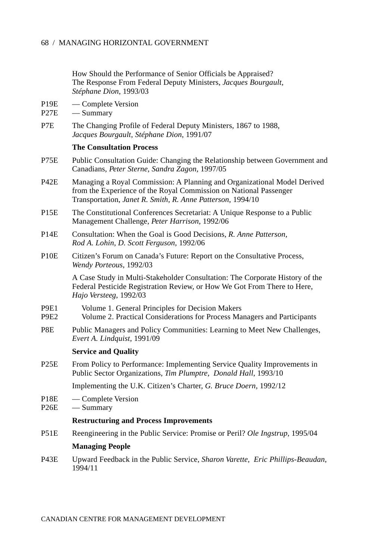How Should the Performance of Senior Officials be Appraised? The Response From Federal Deputy Ministers, *Jacques Bourgault, Stéphane Dion*, 1993/03

- P19E Complete Version
- P27E Summary
- P7E The Changing Profile of Federal Deputy Ministers, 1867 to 1988, *Jacques Bourgault, Stéphane Dion*, 1991/07

#### **The Consultation Process**

- P75E Public Consultation Guide: Changing the Relationship between Government and Canadians, *Peter Sterne, Sandra Zagon,* 1997/05
- P42E Managing a Royal Commission: A Planning and Organizational Model Derived from the Experience of the Royal Commission on National Passenger Transportation, *Janet R. Smith, R. Anne Patterson*, 1994/10
- P15E The Constitutional Conferences Secretariat: A Unique Response to a Public Management Challenge, *Peter Harrison*, 1992/06
- P14E Consultation: When the Goal is Good Decisions, *R. Anne Patterson, Rod A. Lohin, D. Scott Ferguson*, 1992/06
- P10E Citizen's Forum on Canada's Future: Report on the Consultative Process, *Wendy Porteous*, 1992/03

A Case Study in Multi-Stakeholder Consultation: The Corporate History of the Federal Pesticide Registration Review, or How We Got From There to Here, *Hajo Versteeg*, 1992/03

- P9E1 Volume 1. General Principles for Decision Makers
- P9E2 Volume 2. Practical Considerations for Process Managers and Participants
- P8E Public Managers and Policy Communities: Learning to Meet New Challenges, *Evert A. Lindquist*, 1991/09

#### **Service and Quality**

P25E From Policy to Performance: Implementing Service Quality Improvements in Public Sector Organizations, *Tim Plumptre, Donald Hall*, 1993/10

Implementing the U.K. Citizen's Charter, *G. Bruce Doern*, 1992/12

- P18E Complete Version
- P<sub>26</sub>E Summary

#### **Restructuring and Process Improvements**

P51E Reengineering in the Public Service: Promise or Peril? *Ole Ingstrup*, 1995/04

#### **Managing People**

P43E Upward Feedback in the Public Service, *Sharon Varette, Eric Phillips-Beaudan*, 1994/11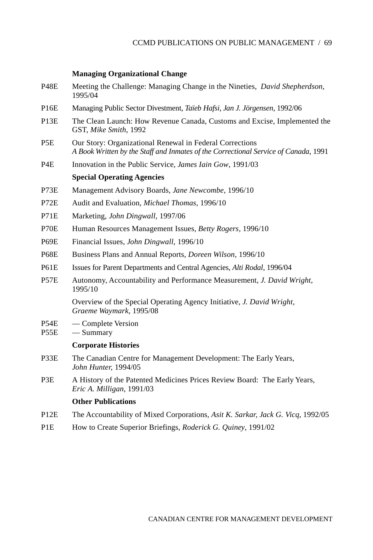## **Managing Organizational Change**

| P <sub>48</sub> E                | Meeting the Challenge: Managing Change in the Nineties, <i>David Shepherdson</i> ,<br>1995/04                                                   |
|----------------------------------|-------------------------------------------------------------------------------------------------------------------------------------------------|
| P <sub>16</sub> E                | Managing Public Sector Divestment, Taïeb Hafsi, Jan J. Jörgensen, 1992/06                                                                       |
| P <sub>13</sub> E                | The Clean Launch: How Revenue Canada, Customs and Excise, Implemented the<br>GST, Mike Smith, 1992                                              |
| P <sub>5</sub> E                 | Our Story: Organizational Renewal in Federal Corrections<br>A Book Written by the Staff and Inmates of the Correctional Service of Canada, 1991 |
| P4E                              | Innovation in the Public Service, James Iain Gow, 1991/03                                                                                       |
|                                  | <b>Special Operating Agencies</b>                                                                                                               |
| P73E                             | Management Advisory Boards, Jane Newcombe, 1996/10                                                                                              |
| P72E                             | Audit and Evaluation, Michael Thomas, 1996/10                                                                                                   |
| P71E                             | Marketing, John Dingwall, 1997/06                                                                                                               |
| P70E                             | Human Resources Management Issues, <i>Betty Rogers</i> , 1996/10                                                                                |
| P69E                             | Financial Issues, John Dingwall, 1996/10                                                                                                        |
| <b>P68E</b>                      | Business Plans and Annual Reports, Doreen Wilson, 1996/10                                                                                       |
| <b>P61E</b>                      | Issues for Parent Departments and Central Agencies, Alti Rodal, 1996/04                                                                         |
| P <sub>57</sub> E                | Autonomy, Accountability and Performance Measurement, J. David Wright,<br>1995/10                                                               |
|                                  | Overview of the Special Operating Agency Initiative, J. David Wright,<br>Graeme Waymark, 1995/08                                                |
| <b>P54E</b><br>P <sub>55</sub> E | — Complete Version<br>— Summary                                                                                                                 |
|                                  | <b>Corporate Histories</b>                                                                                                                      |
| P33E                             | The Canadian Centre for Management Development: The Early Years,<br>John Hunter, 1994/05                                                        |
| P <sub>3</sub> E                 | A History of the Patented Medicines Prices Review Board: The Early Years,<br>Eric A. Milligan, 1991/03                                          |
|                                  | <b>Other Publications</b>                                                                                                                       |
| P12E                             | The Accountability of Mixed Corporations, Asit K. Sarkar, Jack G. Vicq, 1992/05                                                                 |

P1E How to Create Superior Briefings, *Roderick G. Quiney*, 1991/02